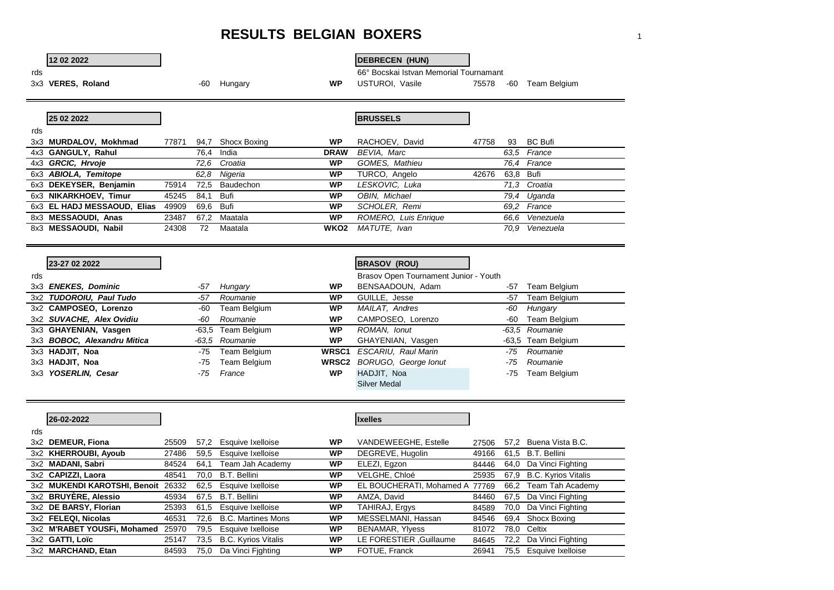## **RESULTS BELGIAN BOXERS** <sup>1</sup>

## **12 02 2022 DEBRECEN (HUN)**

rds<br>
The G6° Bocskai Istvan Memorial Tournamant<br>
3x3 **VERES, Roland** 195578<br>
3x3 **VERES, Roland** 195578

75578 -60 Team Belgium

|     | 25 02 2022                  |       |           |                |             | <b>BRUSSELS</b>      |       |           |                |
|-----|-----------------------------|-------|-----------|----------------|-------------|----------------------|-------|-----------|----------------|
| rds |                             |       |           |                |             |                      |       |           |                |
|     | 3x3 MURDALOV, Mokhmad       | 77871 | 94.7      | Shocx Boxing   | <b>WP</b>   | RACHOEV, David       | 47758 | 93        | <b>BC Bufi</b> |
|     | 4x3 GANGULY, Rahul          |       |           | 76,4 India     | <b>DRAW</b> | BEVIA, Marc          |       |           | 63.5 France    |
|     | 4x3 GRCIC, Hrvoje           |       |           | 72.6 Croatia   | WP          | GOMES, Mathieu       |       |           | 76.4 France    |
|     | 6x3 ABIOLA, Temitope        |       |           | 62.8 Nigeria   | WP          | TURCO, Angelo        | 42676 | 63,8 Bufi |                |
|     | 6x3 DEKEYSER, Benjamin      | 75914 |           | 72,5 Baudechon | WP          | LESKOVIC, Luka       |       |           | 71.3 Croatia   |
|     | 6x3 NIKARKHOEV, Timur       | 45245 | 84,1 Bufi |                | WP          | OBIN, Michael        |       | 79.4      | Uqanda         |
|     | 6x3 EL HADJ MESSAOUD, Elias | 49909 | 69.6      | Bufi           | <b>WP</b>   | SCHOLER, Remi        |       |           | 69.2 France    |
|     | 8x3 MESSAOUDI, Anas         | 23487 |           | 67,2 Maatala   | WP          | ROMERO, Luis Enrique |       |           | 66.6 Venezuela |
|     | 8x3 MESSAOUDI, Nabil        | 24308 | 72        | Maatala        | WKO2        | MATUTE, Ivan         |       | 70.9      | Venezuela      |

|     | 23-27 02 2022               |     |                    |                   | <b>BRASOV (ROU)</b>                   |     |                    |
|-----|-----------------------------|-----|--------------------|-------------------|---------------------------------------|-----|--------------------|
| rds |                             |     |                    |                   | Brasov Open Tournament Junior - Youth |     |                    |
|     | 3x3 ENEKES, Dominic         | -57 | Hungary            | <b>WP</b>         | BENSAADOUN, Adam                      | -57 | Team Belgium       |
|     | 3x2 TUDOROIU, Paul Tudo     | -57 | Roumanie           | <b>WP</b>         | GUILLE, Jesse                         | -57 | Team Belgium       |
|     | 3x2 CAMPOSEO, Lorenzo       | -60 | Team Belgium       | <b>WP</b>         | MAILAT, Andres                        | -60 | Hungary            |
|     | 3x2 SUVACHE, Alex Ovidiu    | -60 | Roumanie           | <b>WP</b>         | CAMPOSEO, Lorenzo                     | -60 | Team Belgium       |
|     | 3x3 GHAYENIAN, Vasgen       |     | -63,5 Team Belgium | <b>WP</b>         | ROMAN, Ionut                          |     | -63.5 Roumanie     |
|     | 3x3 BOBOC, Alexandru Mitica |     | -63.5 Roumanie     | <b>WP</b>         | GHAYENIAN, Vasgen                     |     | -63,5 Team Belgium |
|     | 3x3 HADJIT, Noa             | -75 | Team Belgium       | WRSC <sub>1</sub> | ESCARIU, Raul Marin                   | -75 | Roumanie           |
|     | 3x3 HADJIT, Noa             | -75 | Team Belgium       | <b>WRSC2</b>      | BORUGO, George Ionut                  | -75 | Roumanie           |
|     | 3x3 YOSERLIN, Cesar         | -75 | France             | <b>WP</b>         | HADJIT, Noa                           | -75 | Team Belgium       |
|     |                             |     |                    |                   | <b>Silver Medal</b>                   |     |                    |

|     | 26-02-2022                         |       |      |                            |           | <b>Ixelles</b>                 |       |      |                          |
|-----|------------------------------------|-------|------|----------------------------|-----------|--------------------------------|-------|------|--------------------------|
| rds |                                    |       |      |                            |           |                                |       |      |                          |
|     | 3x2 DEMEUR, Fiona                  | 25509 | 57.2 | Esquive Ixelloise          | <b>WP</b> | VANDEWEEGHE, Estelle           | 27506 |      | 57.2 Buena Vista B.C.    |
|     | 3x2 KHERROUBI, Ayoub               | 27486 | 59.5 | Esquive Ixelloise          | <b>WP</b> | DEGREVE, Hugolin               | 49166 |      | 61.5 B.T. Bellini        |
|     | 3x2 MADANI, Sabri                  | 84524 | 64.1 | Team Jah Academy           | <b>WP</b> | ELEZI, Egzon                   | 84446 | 64.0 | Da Vinci Fighting        |
|     | 3x2 CAPIZZI, Laora                 | 48541 | 70.0 | B.T. Bellini               | <b>WP</b> | VELGHE, Chloé                  | 25935 |      | 67,9 B.C. Kyrios Vitalis |
|     | 3x2 MUKENDI KAROTSHI, Benoit 26332 |       | 62.5 | Esquive Ixelloise          | <b>WP</b> | EL BOUCHERATI, Mohamed A 77769 |       | 66.2 | Team Tah Academy         |
|     | 3x2 BRUYERE, Alessio               | 45934 | 67.5 | B.T. Bellini               | <b>WP</b> | AMZA, David                    | 84460 | 67.5 | Da Vinci Fighting        |
|     | 3x2 DE BARSY, Florian              | 25393 | 61.5 | Esquive Ixelloise          | <b>WP</b> | TAHIRAJ, Ergys                 | 84589 | 70.0 | Da Vinci Fighting        |
|     | 3x2 FELEQI. Nicolas                | 46531 | 72.6 | <b>B.C. Martines Mons</b>  | <b>WP</b> | MESSELMANI, Hassan             | 84546 | 69.4 | Shocx Boxing             |
|     | 3x2 M'RABET YOUSFi, Mohamed        | 25970 | 79.5 | Esquive Ixelloise          | <b>WP</b> | <b>BENAMAR, Ylyess</b>         | 81072 |      | 78.0 Celtix              |
|     | 3x2 GATTI, Loïc                    | 25147 | 73.5 | <b>B.C. Kyrios Vitalis</b> | <b>WP</b> | LE FORESTIER , Guillaume       | 84645 | 72,2 | Da Vinci Fighting        |
|     | 3x2 MARCHAND, Etan                 | 84593 | 75.0 | Da Vinci Fighting          | <b>WP</b> | FOTUE, Franck                  | 26941 | 75.5 | Esquive Ixelloise        |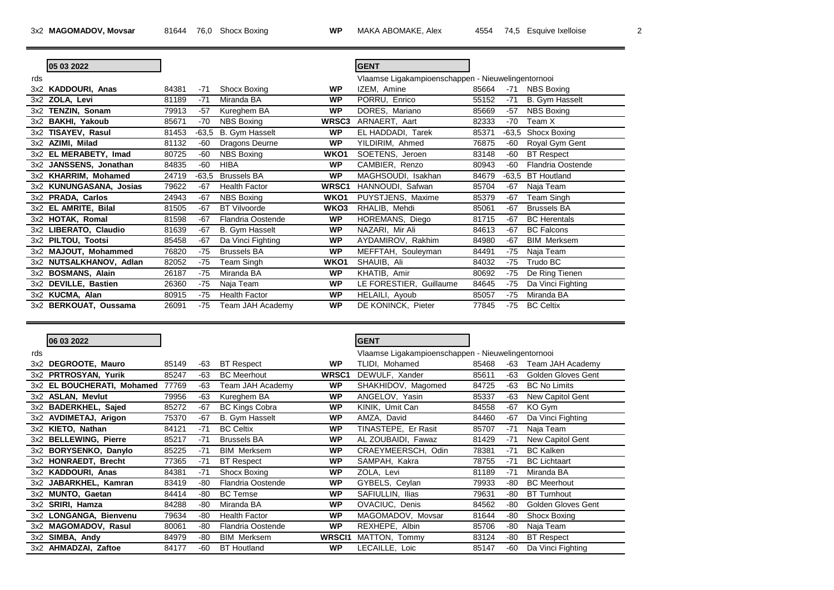$\overline{\phantom{a}}$ 

|     | 05 03 2022              |       |         |                          |                  | <b>GENT</b>                                        |       |         |                     |
|-----|-------------------------|-------|---------|--------------------------|------------------|----------------------------------------------------|-------|---------|---------------------|
|     |                         |       |         |                          |                  |                                                    |       |         |                     |
| rds |                         |       |         |                          |                  | Vlaamse Ligakampioenschappen - Nieuwelingentornooi |       |         |                     |
|     | 3x2 KADDOURI, Anas      | 84381 | $-71$   | Shocx Boxing             | <b>WP</b>        | IZEM, Amine                                        | 85664 | $-71$   | <b>NBS Boxing</b>   |
|     | 3x2 ZOLA, Levi          | 81189 | $-71$   | Miranda BA               | <b>WP</b>        | PORRU, Enrico                                      | 55152 | $-71$   | B. Gym Hasselt      |
|     | 3x2 TENZIN, Sonam       | 79913 | $-57$   | Kureghem BA              | <b>WP</b>        | DORES, Mariano                                     | 85669 | $-57$   | <b>NBS Boxing</b>   |
|     | 3x2 BAKHI, Yakoub       | 85671 | $-70$   | <b>NBS Boxing</b>        | WRSC3            | ARNAERT, Aart                                      | 82333 | $-70$   | Team X              |
|     | 3x2 TISAYEV, Rasul      | 81453 | $-63,5$ | B. Gym Hasselt           | <b>WP</b>        | EL HADDADI, Tarek                                  | 85371 | -63.5   | Shocx Boxing        |
|     | 3x2 AZIMI, Milad        | 81132 | $-60$   | Dragons Deurne           | <b>WP</b>        | YILDIRIM, Ahmed                                    | 76875 | -60     | Royal Gym Gent      |
|     | 3x2 EL MERABETY, Imad   | 80725 | $-60$   | <b>NBS Boxing</b>        | WKO <sub>1</sub> | SOETENS, Jeroen                                    | 83148 | -60     | <b>BT</b> Respect   |
|     | 3x2 JANSSENS, Jonathan  | 84835 | -60     | <b>HIBA</b>              | <b>WP</b>        | CAMBIER, Renzo                                     | 80943 | -60     | Flandria Oostende   |
|     | 3x2 KHARRIM, Mohamed    | 24719 | $-63.5$ | <b>Brussels BA</b>       | <b>WP</b>        | MAGHSOUDI, Isakhan                                 | 84679 | $-63.5$ | <b>BT</b> Houtland  |
|     | 3x2 KUNUNGASANA, Josias | 79622 | $-67$   | <b>Health Factor</b>     | WRSC1            | HANNOUDI, Safwan                                   | 85704 | $-67$   | Naja Team           |
|     | 3x2 PRADA, Carlos       | 24943 | $-67$   | <b>NBS Boxing</b>        | WKO1             | PUYSTJENS, Maxime                                  | 85379 | $-67$   | Team Singh          |
|     | 3x2 EL AMRITE, Bilal    | 81505 | $-67$   | <b>BT Vilvoorde</b>      | WKO3             | RHALIB, Mehdi                                      | 85061 | $-67$   | <b>Brussels BA</b>  |
|     | 3x2 HOTAK, Romal        | 81598 | $-67$   | <b>Flandria Oostende</b> | <b>WP</b>        | HOREMANS, Diego                                    | 81715 | $-67$   | <b>BC</b> Herentals |
|     | 3x2 LIBERATO, Claudio   | 81639 | $-67$   | <b>B.</b> Gym Hasselt    | <b>WP</b>        | NAZARI, Mir Ali                                    | 84613 | $-67$   | <b>BC Falcons</b>   |
|     | 3x2 PILTOU, Tootsi      | 85458 | $-67$   | Da Vinci Fighting        | <b>WP</b>        | AYDAMIROV, Rakhim                                  | 84980 | $-67$   | <b>BIM Merksem</b>  |
|     | 3x2 MAJOUT, Mohammed    | 76820 | $-75$   | <b>Brussels BA</b>       | <b>WP</b>        | MEFFTAH, Souleyman                                 | 84491 | -75     | Naja Team           |
|     | 3x2 NUTSALKHANOV, Adlan | 82052 | -75     | Team Singh               | WKO <sub>1</sub> | SHAUIB, Ali                                        | 84032 | $-75$   | Trudo BC            |
|     | 3x2 BOSMANS, Alain      | 26187 | $-75$   | Miranda BA               | <b>WP</b>        | KHATIB, Amir                                       | 80692 | $-75$   | De Ring Tienen      |
|     | 3x2 DEVILLE, Bastien    | 26360 | $-75$   | Naja Team                | <b>WP</b>        | LE FORESTIER, Guillaume                            | 84645 | $-75$   | Da Vinci Fighting   |
|     | 3x2 KUCMA, Alan         | 80915 | -75     | <b>Health Factor</b>     | <b>WP</b>        | HELAILI, Ayoub                                     | 85057 | $-75$   | Miranda BA          |
|     | 3x2 BERKOUAT, Oussama   | 26091 | $-75$   | Team JAH Academy         | <b>WP</b>        | DE KONINCK, Pieter                                 | 77845 | $-75$   | <b>BC Celtix</b>    |

|     | 06 03 2022                       |       |       |                          |                   | <b>GENT</b>                                        |       |       |                           |
|-----|----------------------------------|-------|-------|--------------------------|-------------------|----------------------------------------------------|-------|-------|---------------------------|
| rds |                                  |       |       |                          |                   | Vlaamse Ligakampioenschappen - Nieuwelingentornooi |       |       |                           |
|     | 3x2 DEGROOTE, Mauro              | 85149 | -63   | <b>BT</b> Respect        | <b>WP</b>         | TLIDI, Mohamed                                     | 85468 | -63   | Team JAH Academy          |
|     | 3x2 PRTROSYAN, Yurik             | 85247 | -63   | <b>BC</b> Meerhout       | WRSC <sub>1</sub> | DEWULF, Xander                                     | 85611 | -63   | <b>Golden Gloves Gent</b> |
|     | 3x2 EL BOUCHERATI, Mohamed 77769 |       | -63   | Team JAH Academy         | <b>WP</b>         | SHAKHIDOV, Magomed                                 | 84725 | -63   | <b>BC No Limits</b>       |
|     | 3x2 ASLAN, Mevlut                | 79956 | -63   | Kureghem BA              | <b>WP</b>         | ANGELOV, Yasin                                     | 85337 | -63   | New Capitol Gent          |
|     | 3x2 BADERKHEL, Sajed             | 85272 | -67   | <b>BC Kings Cobra</b>    | <b>WP</b>         | KINIK, Umit Can                                    | 84558 | -67   | KO Gym                    |
|     | 3x2 AVDIMETAJ, Arigon            | 75370 | $-67$ | <b>B.</b> Gym Hasselt    | <b>WP</b>         | AMZA, David                                        | 84460 | -67   | Da Vinci Fighting         |
|     | 3x2 KIETO, Nathan                | 84121 | $-71$ | <b>BC Celtix</b>         | <b>WP</b>         | TINASTEPE, Er Rasit                                | 85707 | $-71$ | Naja Team                 |
|     | 3x2 BELLEWING, Pierre            | 85217 | $-71$ | <b>Brussels BA</b>       | <b>WP</b>         | AL ZOUBAIDI, Fawaz                                 | 81429 | $-71$ | New Capitol Gent          |
|     | 3x2 BORYSENKO, Danylo            | 85225 | $-71$ | <b>BIM Merksem</b>       | <b>WP</b>         | CRAEYMEERSCH, Odin                                 | 78381 | $-71$ | <b>BC Kalken</b>          |
|     | 3x2 HONRAEDT, Brecht             | 77365 | $-71$ | <b>BT</b> Respect        | <b>WP</b>         | SAMPAH, Kakra                                      | 78755 | $-71$ | <b>BC</b> Lichtaart       |
|     | 3x2 KADDOURI, Anas               | 84381 | $-71$ | Shocx Boxing             | <b>WP</b>         | ZOLA, Levi                                         | 81189 | $-71$ | Miranda BA                |
|     | 3x2 JABARKHEL, Kamran            | 83419 | -80   | <b>Flandria Oostende</b> | <b>WP</b>         | GYBELS, Ceylan                                     | 79933 | -80   | <b>BC</b> Meerhout        |
|     | 3x2 MUNTO, Gaetan                | 84414 | -80   | <b>BC</b> Temse          | <b>WP</b>         | SAFIULLIN, Ilias                                   | 79631 | -80   | <b>BT Turnhout</b>        |
|     | 3x2 SRIRI, Hamza                 | 84288 | -80   | Miranda BA               | <b>WP</b>         | OVACIUC, Denis                                     | 84562 | -80   | <b>Golden Gloves Gent</b> |
|     | 3x2 LONGANGA, Bienvenu           | 79634 | -80   | <b>Health Factor</b>     | <b>WP</b>         | MAGOMADOV, Movsar                                  | 81644 | -80   | Shocx Boxing              |
|     | 3x2 MAGOMADOV, Rasul             | 80061 | -80   | <b>Flandria Oostende</b> | <b>WP</b>         | REXHEPE, Albin                                     | 85706 | -80   | Naja Team                 |
|     | 3x2 SIMBA, Andy                  | 84979 | -80   | <b>BIM Merksem</b>       | <b>WRSCI1</b>     | MATTON, Tommy                                      | 83124 | -80   | <b>BT</b> Respect         |
|     | 3x2 AHMADZAI, Zaftoe             | 84177 | -60   | <b>BT</b> Houtland       | <b>WP</b>         | LECAILLE, Loic                                     | 85147 | -60   | Da Vinci Fighting         |

÷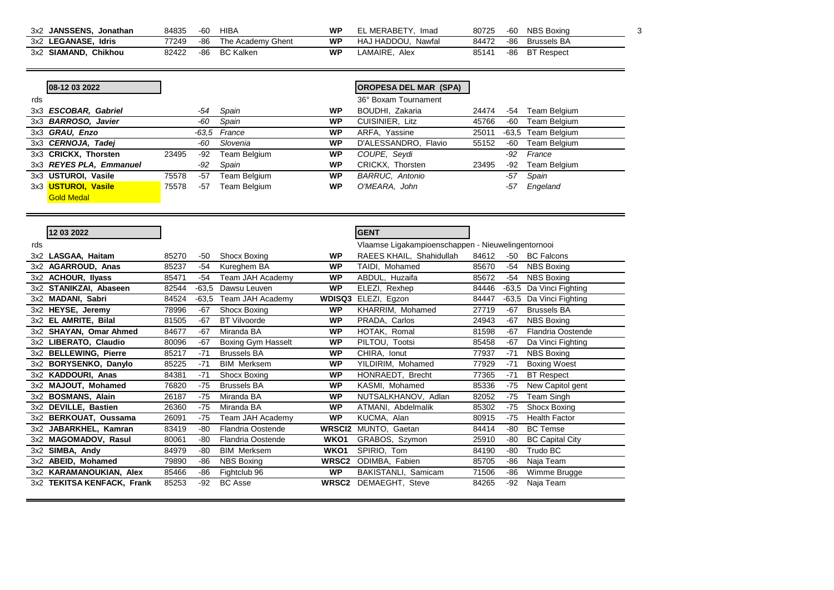| <b>JANSSENS.</b><br>3x2<br>Jonathan | 84835 | $-60$ | HIBA              | WP | $\overline{\phantom{a}}$ MERABETY<br>Imad | 80725 | $-60$ | <b>NBS Boxing</b>  |  |
|-------------------------------------|-------|-------|-------------------|----|-------------------------------------------|-------|-------|--------------------|--|
| Idris<br><b>LEGANASE.</b><br>3x2    | 77249 | $-86$ | The Academy Ghent | WP | HAJ HADDOU.<br>Nawfal                     | 84472 | -86   | <b>Brussels BA</b> |  |
| Chikhou<br><b>SIAMAND.</b><br>3x2   | 82422 | -86   | <b>BC Kalker</b>  | WP | .AMAIRE.<br>Alex                          | 85141 | $-86$ | <b>BT</b> Respect  |  |

|     | 08-12 03 2022              |       |       |              |           | <b>OROPESA DEL MAR (SPA)</b> |       |       |              |
|-----|----------------------------|-------|-------|--------------|-----------|------------------------------|-------|-------|--------------|
| rds |                            |       |       |              |           | 36° Boxam Tournament         |       |       |              |
|     | 3x3 ESCOBAR, Gabriel       |       | -54   | Spain        | <b>WP</b> | BOUDHI, Zakaria              | 24474 | -54   | Team Belgium |
|     | 3x3 <b>BARROSO, Javier</b> |       | -60   | Spain        | <b>WP</b> | <b>CUISINIER, Litz</b>       | 45766 | -60   | Team Belgium |
|     | 3x3 GRAU, Enzo             |       | -63.5 | France       | <b>WP</b> | ARFA, Yassine                | 25011 | -63.5 | Team Belgium |
|     | 3x3 CERNOJA, Tadej         |       | -60   | Slovenia     | <b>WP</b> | D'ALESSANDRO, Flavio         | 55152 | -60   | Team Belgium |
|     | 3x3 CRICKX, Thorsten       | 23495 | -92   | Team Belgium | <b>WP</b> | COUPE, Seydi                 |       | -92   | France       |
|     | 3x3 REYES PLA, Emmanuel    |       | -92   | Spain        | <b>WP</b> | CRICKX, Thorsten             | 23495 | -92   | Team Belgium |
|     | 3x3 USTUROI, Vasile        | 75578 | $-57$ | Team Belgium | <b>WP</b> | <b>BARRUC, Antonio</b>       |       | -57   | Spain        |
|     | 3x3 USTUROI, Vasile        | 75578 | $-57$ | Team Belgium | <b>WP</b> | O'MEARA, John                |       | -57   | Engeland     |
|     | <b>Gold Medal</b>          |       |       |              |           |                              |       |       |              |

|     | 12 03 2022                 |       |         |                           |                   | <b>GENT</b>                                        |       |       |                         |
|-----|----------------------------|-------|---------|---------------------------|-------------------|----------------------------------------------------|-------|-------|-------------------------|
| rds |                            |       |         |                           |                   | Vlaamse Ligakampioenschappen - Nieuwelingentornooi |       |       |                         |
|     | 3x2 LASGAA, Haitam         | 85270 | $-50$   | Shocx Boxing              | WP                | RAEES KHAIL, Shahidullah                           | 84612 | -50   | <b>BC Falcons</b>       |
|     | 3x2 AGARROUD, Anas         | 85237 | $-54$   | Kureghem BA               | <b>WP</b>         | TAIDI, Mohamed                                     | 85670 | $-54$ | <b>NBS Boxing</b>       |
|     | 3x2 ACHOUR, Ilyass         | 85471 | $-54$   | Team JAH Academy          | <b>WP</b>         | ABDUL, Huzaifa                                     | 85672 | $-54$ | <b>NBS Boxing</b>       |
|     | 3x2 STANIKZAI, Abaseen     | 82544 | $-63,5$ | Dawsu Leuven              | <b>WP</b>         | ELEZI, Rexhep                                      | 84446 |       | -63,5 Da Vinci Fighting |
|     | 3x2 MADANI, Sabri          | 84524 | $-63.5$ | Team JAH Academy          | <b>WDISQ3</b>     | ELEZI, Egzon                                       | 84447 |       | -63,5 Da Vinci Fighting |
|     | 3x2 HEYSE, Jeremy          | 78996 | $-67$   | Shocx Boxing              | <b>WP</b>         | KHARRIM, Mohamed                                   | 27719 | $-67$ | <b>Brussels BA</b>      |
|     | 3x2 EL AMRITE, Bilal       | 81505 | $-67$   | <b>BT Vilvoorde</b>       | <b>WP</b>         | PRADA, Carlos                                      | 24943 | $-67$ | <b>NBS Boxing</b>       |
|     | 3x2 SHAYAN, Omar Ahmed     | 84677 | $-67$   | Miranda BA                | <b>WP</b>         | HOTAK, Romal                                       | 81598 | $-67$ | Flandria Oostende       |
|     | 3x2 LIBERATO, Claudio      | 80096 | $-67$   | <b>Boxing Gym Hasselt</b> | <b>WP</b>         | PILTOU, Tootsi                                     | 85458 | $-67$ | Da Vinci Fighting       |
|     | 3x2 BELLEWING, Pierre      | 85217 | $-71$   | <b>Brussels BA</b>        | <b>WP</b>         | CHIRA, Ionut                                       | 77937 | $-71$ | <b>NBS Boxing</b>       |
|     | 3x2 BORYSENKO, Danylo      | 85225 | $-71$   | <b>BIM Merksem</b>        | <b>WP</b>         | YILDIRIM, Mohamed                                  | 77929 | $-71$ | <b>Boxing Woest</b>     |
|     | 3x2 KADDOURI, Anas         | 84381 | $-71$   | Shocx Boxing              | <b>WP</b>         | HONRAEDT, Brecht                                   | 77365 | $-71$ | <b>BT</b> Respect       |
|     | 3x2 MAJOUT, Mohamed        | 76820 | $-75$   | <b>Brussels BA</b>        | <b>WP</b>         | KASMI, Mohamed                                     | 85336 | $-75$ | New Capitol gent        |
|     | 3x2 BOSMANS, Alain         | 26187 | $-75$   | Miranda BA                | <b>WP</b>         | NUTSALKHANOV, Adlan                                | 82052 | $-75$ | Team Singh              |
|     | 3x2 DEVILLE, Bastien       | 26360 | $-75$   | Miranda BA                | <b>WP</b>         | ATMANI, Abdelmalik                                 | 85302 | $-75$ | Shocx Boxing            |
|     | 3x2 BERKOUAT, Oussama      | 26091 | $-75$   | Team JAH Academy          | <b>WP</b>         | KUCMA, Alan                                        | 80915 | -75   | <b>Health Factor</b>    |
|     | 3x2 JABARKHEL, Kamran      | 83419 | $-80$   | Flandria Oostende         | <b>WRSCI2</b>     | MUNTO, Gaetan                                      | 84414 | -80   | <b>BC</b> Temse         |
|     | 3x2 MAGOMADOV, Rasul       | 80061 | $-80$   | <b>Flandria Oostende</b>  | WKO1              | GRABOS, Szymon                                     | 25910 | $-80$ | <b>BC Capital City</b>  |
|     | 3x2 SIMBA, Andy            | 84979 | $-80$   | <b>BIM Merksem</b>        | WKO1              | SPIRIO, Tom                                        | 84190 | -80   | Trudo BC                |
|     | 3x2 ABEID, Mohamed         | 79890 | $-86$   | <b>NBS Boxing</b>         | WRSC <sub>2</sub> | ODIMBA, Fabien                                     | 85705 | $-86$ | Naja Team               |
|     | 3x2 KARAMANOUKIAN, Alex    | 85466 | -86     | Fightclub 96              | <b>WP</b>         | BAKISTANLI, Samicam                                | 71506 | -86   | Wimme Brugge            |
|     | 3x2 TEKITSA KENFACK, Frank | 85253 | $-92$   | <b>BC</b> Asse            | WRSC <sub>2</sub> | DEMAEGHT, Steve                                    | 84265 | -92   | Naja Team               |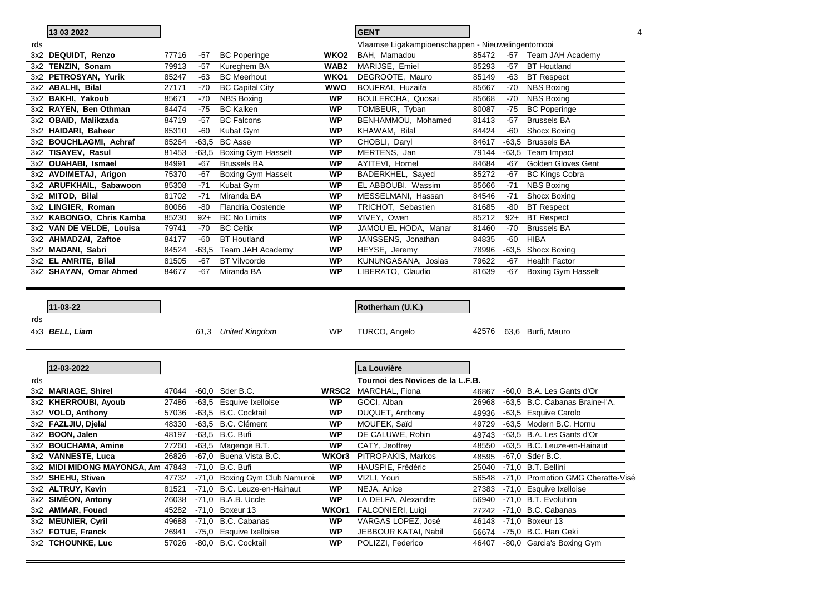|     | 13 03 2022                                        |                |         |                                                |                  | <b>GENT</b>                                        |                |         |                                                  |
|-----|---------------------------------------------------|----------------|---------|------------------------------------------------|------------------|----------------------------------------------------|----------------|---------|--------------------------------------------------|
| rds |                                                   |                |         |                                                |                  | Vlaamse Ligakampioenschappen - Nieuwelingentornooi |                |         |                                                  |
|     | 3x2 DEQUIDT, Renzo                                | 77716          | -57     | <b>BC Poperinge</b>                            | WKO <sub>2</sub> | BAH, Mamadou                                       | 85472          |         | -57 Team JAH Academy                             |
|     | 3x2 TENZIN, Sonam                                 | 79913          | $-57$   | Kureghem BA                                    | WAB <sub>2</sub> | MARIJSE, Emiel                                     | 85293          | $-57$   | <b>BT</b> Houtland                               |
|     | 3x2 PETROSYAN, Yurik                              | 85247          | -63     | <b>BC Meerhout</b>                             | WKO1             | DEGROOTE, Mauro                                    | 85149          | -63     | <b>BT</b> Respect                                |
|     | 3x2 ABALHI, Bilal                                 | 27171          | -70     | <b>BC Capital City</b>                         | wwo              | BOUFRAI, Huzaifa                                   | 85667          | -70     | <b>NBS Boxing</b>                                |
|     | 3x2 BAKHI, Yakoub                                 | 85671          | -70     | <b>NBS Boxing</b>                              | <b>WP</b>        | BOULERCHA, Quosai                                  | 85668          | -70     | <b>NBS Boxing</b>                                |
|     | 3x2 RAYEN, Ben Othman                             | 84474          | -75     | <b>BC Kalken</b>                               | <b>WP</b>        | TOMBEUR, Tyban                                     | 80087          | -75     | <b>BC Poperinge</b>                              |
|     | 3x2 OBAID, Malikzada                              | 84719          | -57     | <b>BC Falcons</b>                              | <b>WP</b>        | BENHAMMOU, Mohamed                                 | 81413          | -57     | <b>Brussels BA</b>                               |
|     | 3x2 HAIDARI, Baheer                               | 85310          | -60     | Kubat Gym                                      | WP               | KHAWAM, Bilal                                      | 84424          | -60     | Shocx Boxing                                     |
|     | 3x2 BOUCHLAGMI, Achraf                            | 85264          | $-63,5$ | <b>BC Asse</b>                                 | <b>WP</b>        | CHOBLI, Daryl                                      | 84617          | $-63,5$ | <b>Brussels BA</b>                               |
|     | 3x2 TISAYEV, Rasul                                | 81453          | $-63,5$ | <b>Boxing Gym Hasselt</b>                      | <b>WP</b>        | MERTENS, Jan                                       | 79144          | -63,5   | Team Impact                                      |
|     | 3x2 OUAHABI, Ismael                               | 84991          | -67     | <b>Brussels BA</b>                             | <b>WP</b>        | AYITEVI, Hornel                                    | 84684          | -67     | Golden Gloves Gent                               |
|     | 3x2 AVDIMETAJ, Arigon                             | 75370          | -67     | Boxing Gym Hasselt                             | <b>WP</b>        | BADERKHEL, Sayed                                   | 85272          | -67     | <b>BC Kings Cobra</b>                            |
|     | 3x2 ARUFKHAIL, Sabawoon                           | 85308          | $-71$   | Kubat Gym                                      | <b>WP</b>        | EL ABBOUBI, Wassim                                 | 85666          | $-71$   | <b>NBS Boxing</b>                                |
|     | 3x2 MITOD, Bilal                                  | 81702          | -71     | Miranda BA                                     | <b>WP</b>        | MESSELMANI, Hassan                                 | 84546          | $-71$   | Shocx Boxing                                     |
|     | 3x2 LINGIER, Roman                                | 80066          | -80     | Flandria Oostende                              | WP               | TRICHOT, Sebastien                                 | 81685          | -80     | <b>BT</b> Respect                                |
|     | 3x2 KABONGO, Chris Kamba                          | 85230          | $92+$   | <b>BC No Limits</b>                            | <b>WP</b>        | VIVEY, Owen                                        | 85212          | $92+$   | <b>BT</b> Respect                                |
|     | 3x2 VAN DE VELDE, Louisa                          | 79741          | -70     | <b>BC Celtix</b>                               | <b>WP</b>        | JAMOU EL HODA, Manar                               | 81460          | $-70$   | <b>Brussels BA</b>                               |
|     | 3x2 AHMADZAI, Zaftoe                              | 84177          | -60     | <b>BT</b> Houtland                             | <b>WP</b>        | JANSSENS, Jonathan                                 | 84835          | -60     | <b>HIBA</b>                                      |
|     | 3x2 MADANI, Sabri                                 | 84524          | -63,5   | Team JAH Academy                               | WP               | HEYSE, Jeremy                                      | 78996          | $-63,5$ | <b>Shocx Boxing</b>                              |
|     | 3x2 EL AMRITE, Bilal                              | 81505          | -67     | <b>BT Vilvoorde</b>                            | <b>WP</b>        | KUNUNGASANA, Josias                                | 79622          | -67     | <b>Health Factor</b>                             |
|     | 3x2 SHAYAN, Omar Ahmed                            | 84677          | -67     | Miranda BA                                     | <b>WP</b>        | LIBERATO, Claudio                                  | 81639          | -67     | <b>Boxing Gym Hasselt</b>                        |
|     |                                                   |                |         |                                                |                  |                                                    |                |         |                                                  |
| rds | 11-03-22<br>4x3 BELL, Liam                        |                | 61,3    | <b>United Kingdom</b>                          | WP               | Rotherham (U.K.)<br>TURCO, Angelo                  | 42576          |         | 63,6 Burfi, Mauro                                |
|     | 12-03-2022                                        |                |         |                                                |                  | La Louvière                                        |                |         |                                                  |
| rds |                                                   |                |         |                                                |                  | Tournoi des Novices de la L.F.B.                   |                |         |                                                  |
|     | 3x2 MARIAGE, Shirel                               | 47044          |         | -60,0 Sder B.C.                                | <b>WRSC2</b>     | MARCHAL, Fiona                                     | 46867          |         | -60,0 B.A. Les Gants d'Or                        |
|     | 3x2 KHERROUBI, Ayoub                              | 27486          |         | -63,5 Esquive Ixelloise                        | WP               | GOCI, Alban                                        | 26968          |         | -63,5 B.C. Cabanas Braine-l'A.                   |
|     | 3x2 VOLO, Anthony                                 | 57036          |         | -63,5 B.C. Cocktail                            | <b>WP</b>        | DUQUET, Anthony                                    | 49936          |         | -63,5 Esquive Carolo                             |
|     | 3x2 FAZLJIU, Djelal                               | 48330          |         | -63,5 B.C. Clément                             | WP               | MOUFEK, Saïd                                       | 49729          |         | -63,5 Modern B.C. Hornu                          |
|     | 3x2 BOON, Jalen                                   | 48197          |         | -63,5 B.C. Bufi                                | <b>WP</b>        | DE CALUWE, Robin                                   | 49743          |         | -63,5 B.A. Les Gants d'Or                        |
|     | 3x2 BOUCHAMA, Amine                               | 27260          |         | -63,5 Magenge B.T.                             | <b>WP</b>        | CATY, Jeoffrey                                     | 48550          |         | -63,5 B.C. Leuze-en-Hainaut                      |
|     | 3x2 VANNESTE, Luca                                | 26826          |         | -67,0 Buena Vista B.C.                         | WKOr3            | PITROPAKIS, Markos                                 | 48595          |         | -67.0 Sder B.C.                                  |
|     | 3x2 MIDI MIDONG MAYONGA, Am 47843 -71,0 B.C. Bufi |                |         |                                                | <b>WP</b>        | HAUSPIE, Frédéric                                  |                |         | 25040 -71,0 B.T. Bellini                         |
|     | 3x2 SHEHU, Stiven                                 | 47732          |         | -71,0 Boxing Gym Club Namuroi:                 | WP               | VIZLI, Youri                                       | 56548          |         | -71,0 Promotion GMG Cheratte-Visé                |
|     | 3x2 ALTRUY, Kevin                                 | 81521          | $-71,0$ | B.C. Leuze-en-Hainaut                          | WP               | NEJA, Anice                                        | 27383          |         | -71,0 Esquive Ixelloise                          |
|     | 3x2 SIMEON, Antony                                | 26038          | $-71,0$ | B.A.B. Uccle                                   | <b>WP</b>        | LA DELFA, Alexandre                                | 56940          |         | -71,0 B.T. Evolution                             |
|     | 3x2 AMMAR, Fouad                                  | 45282          |         | -71,0 Boxeur 13                                | WKOr1            | FALCONIERI, Luigi                                  | 27242          |         | -71,0 B.C. Cabanas                               |
|     | 3x2 MEUNIER, Cyril                                | 49688          |         | -71,0 B.C. Cabanas                             | <b>WP</b>        | VARGAS LOPEZ, José                                 | 46143          |         | -71,0 Boxeur 13                                  |
|     | 3x2 FOTUE, Franck<br>3x2 TCHOUNKE, Luc            | 26941<br>57026 |         | -75,0 Esquive Ixelloise<br>-80,0 B.C. Cocktail | <b>WP</b><br>WP  | JEBBOUR KATAI, Nabil<br>POLIZZI, Federico          | 56674<br>46407 |         | -75,0 B.C. Han Geki<br>-80,0 Garcia's Boxing Gym |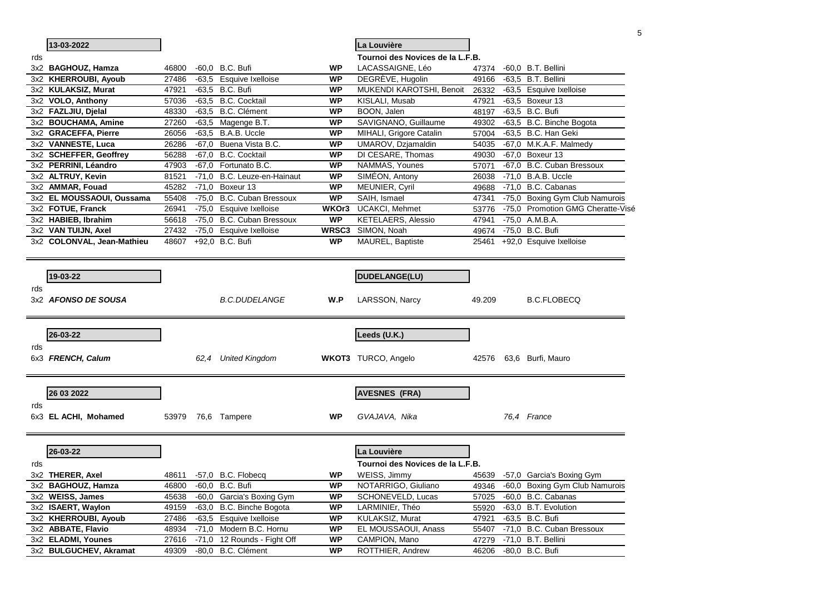|     |                            |       |      |                             |              |                                  |        | 5                                 |
|-----|----------------------------|-------|------|-----------------------------|--------------|----------------------------------|--------|-----------------------------------|
|     | 13-03-2022                 |       |      |                             |              | La Louvière                      |        |                                   |
| rds |                            |       |      |                             |              | Tournoi des Novices de la L.F.B. |        |                                   |
|     | 3x2 BAGHOUZ, Hamza         | 46800 |      | -60,0 B.C. Bufi             | WP           | LACASSAIGNE, Léo                 | 47374  | -60,0 B.T. Bellini                |
|     | 3x2 KHERROUBI, Ayoub       | 27486 |      | -63,5 Esquive Ixelloise     | WP           | DEGRÈVE, Hugolin                 | 49166  | -63,5 B.T. Bellini                |
|     | 3x2 KULAKSIZ, Murat        | 47921 |      | -63,5 B.C. Bufi             | WP           | MUKENDI KAROTSHI, Benoit         | 26332  | -63,5 Esquive Ixelloise           |
|     | 3x2 VOLO, Anthony          | 57036 |      | -63,5 B.C. Cocktail         | <b>WP</b>    | KISLALI, Musab                   | 47921  | $-63,5$ Boxeur 13                 |
|     | 3x2 FAZLJIU, Djelal        | 48330 |      | -63,5 B.C. Clément          | <b>WP</b>    | BOON, Jalen                      | 48197  | -63,5 B.C. Bufi                   |
|     | 3x2 BOUCHAMA, Amine        | 27260 |      | -63,5 Magenge B.T.          | WP           | SAVIGNANO, Guillaume             | 49302  | -63,5 B.C. Binche Bogota          |
|     | 3x2 GRACEFFA, Pierre       | 26056 |      | $-63.5$ B.A.B. Uccle        | WP           | MIHALI, Grigore Catalin          | 57004  | -63,5 B.C. Han Geki               |
|     | 3x2 VANNESTE, Luca         | 26286 |      | -67,0 Buena Vista B.C.      | <b>WP</b>    | UMAROV, Dzjamaldin               | 54035  | -67,0 M.K.A.F. Malmedy            |
|     | 3x2 SCHEFFER, Geoffrey     | 56288 |      | -67,0 B.C. Cocktail         | WP           | DI CESARE, Thomas                | 49030  | -67.0 Boxeur 13                   |
|     | 3x2 PERRINI, Léandro       | 47903 |      | -67,0 Fortunato B.C.        | WP           | NAMMAS, Younes                   | 57071  | -67,0 B.C. Cuban Bressoux         |
|     | 3x2 ALTRUY, Kevin          | 81521 |      | -71,0 B.C. Leuze-en-Hainaut | <b>WP</b>    | SIMEON, Antony                   | 26038  | -71,0 B.A.B. Uccle                |
|     | 3x2 AMMAR, Fouad           | 45282 |      | -71,0 Boxeur 13             | <b>WP</b>    | MEUNIER, Cyril                   | 49688  | -71,0 B.C. Cabanas                |
|     | 3x2 EL MOUSSAOUI, Oussama  | 55408 |      | -75,0 B.C. Cuban Bressoux   | WP           | SAIH, Ismael                     | 47341  | -75,0 Boxing Gym Club Namurois    |
|     | 3x2 FOTUE, Franck          | 26941 |      | -75,0 Esquive Ixelloise     | WKOr3        | UCAKCI, Mehmet                   | 53776  | -75,0 Promotion GMG Cheratte-Visé |
|     | 3x2 HABIEB, Ibrahim        | 56618 |      | -75,0 B.C. Cuban Bressoux   | <b>WP</b>    | <b>KETELAERS, Alessio</b>        | 47941  | $-75.0$ A.M.B.A.                  |
|     | 3x2 VAN TUIJN, Axel        | 27432 |      | -75,0 Esquive Ixelloise     | <b>WRSC3</b> | SIMON, Noah                      | 49674  | -75,0 B.C. Bufi                   |
|     | 3x2 COLONVAL, Jean-Mathieu | 48607 |      | +92,0 B.C. Bufi             | WP           | MAUREL, Baptiste                 | 25461  | +92,0 Esquive Ixelloise           |
|     |                            |       |      |                             |              |                                  |        |                                   |
|     |                            |       |      |                             |              |                                  |        |                                   |
|     | 19-03-22                   |       |      |                             |              | <b>DUDELANGE(LU)</b>             |        |                                   |
| rds |                            |       |      |                             |              |                                  |        |                                   |
|     | 3x2 AFONSO DE SOUSA        |       |      | <b>B.C.DUDELANGE</b>        | W.P          | LARSSON, Narcy                   | 49.209 | <b>B.C.FLOBECQ</b>                |
|     |                            |       |      |                             |              |                                  |        |                                   |
|     |                            |       |      |                             |              |                                  |        |                                   |
|     | 26-03-22                   |       |      |                             |              | Leeds (U.K.)                     |        |                                   |
|     |                            |       |      |                             |              |                                  |        |                                   |
| rds |                            |       |      |                             |              |                                  |        |                                   |
|     | 6x3 FRENCH, Calum          |       | 62.4 | <b>United Kingdom</b>       |              | <b>WKOT3</b> TURCO, Angelo       | 42576  | 63,6 Burfi, Mauro                 |
|     |                            |       |      |                             |              |                                  |        |                                   |
|     |                            |       |      |                             |              |                                  |        |                                   |
|     | 26 03 2022                 |       |      |                             |              | <b>AVESNES (FRA)</b>             |        |                                   |
| rds |                            |       |      |                             |              |                                  |        |                                   |
|     | 6x3 EL ACHI, Mohamed       | 53979 |      | 76,6 Tampere                | <b>WP</b>    | GVAJAVA, Nika                    |        | 76.4 France                       |
|     |                            |       |      |                             |              |                                  |        |                                   |
|     |                            |       |      |                             |              |                                  |        |                                   |
|     | 26-03-22                   |       |      |                             |              | <sub>-</sub> a Louvière          |        |                                   |
| rds |                            |       |      |                             |              | Tournoi des Novices de la L.F.B. |        |                                   |
|     | 3x2 THERER, Axel           | 48611 |      | $-57,0$ B.C. Flobecq        | WP           | WEISS, Jimmy                     | 45639  | -57,0 Garcia's Boxing Gym         |
|     | 3x2 BAGHOUZ, Hamza         | 46800 |      | -60,0 B.C. Bufi             | <b>WP</b>    | NOTARRIGO, Giuliano              | 49346  | -60,0 Boxing Gym Club Namurois    |
|     | 3x2 WEISS, James           | 45638 |      | -60,0 Garcia's Boxing Gym   | WP           | SCHONEVELD, Lucas                | 57025  | -60,0 B.C. Cabanas                |
|     | 3x2 ISAERT, Waylon         | 49159 |      | -63,0 B.C. Binche Bogota    | WP           | LARMINIEr, Théo                  | 55920  | -63,0 B.T. Evolution              |
|     | 3x2 KHERROUBI, Ayoub       | 27486 |      | -63,5 Esquive Ixelloise     | <b>WP</b>    | KULAKSIZ, Murat                  | 47921  | -63,5 B.C. Bufi                   |
|     | 3x2 ABBATE, Flavio         | 48934 |      | -71,0 Modern B.C. Hornu     | <b>WP</b>    | EL MOUSSAOUI, Anass              | 55407  | -71,0 B.C. Cuban Bressoux         |
|     | 3x2 ELADMI, Younes         | 27616 |      | -71,0 12 Rounds - Fight Off | WP           | CAMPION, Mano                    | 47279  | -71,0 B.T. Bellini                |
|     |                            |       |      |                             |              |                                  |        |                                   |
|     | 3x2 BULGUCHEV, Akramat     | 49309 |      | -80,0 B.C. Clément          | WP           | ROTTHIER, Andrew                 | 46206  | -80,0 B.C. Bufi                   |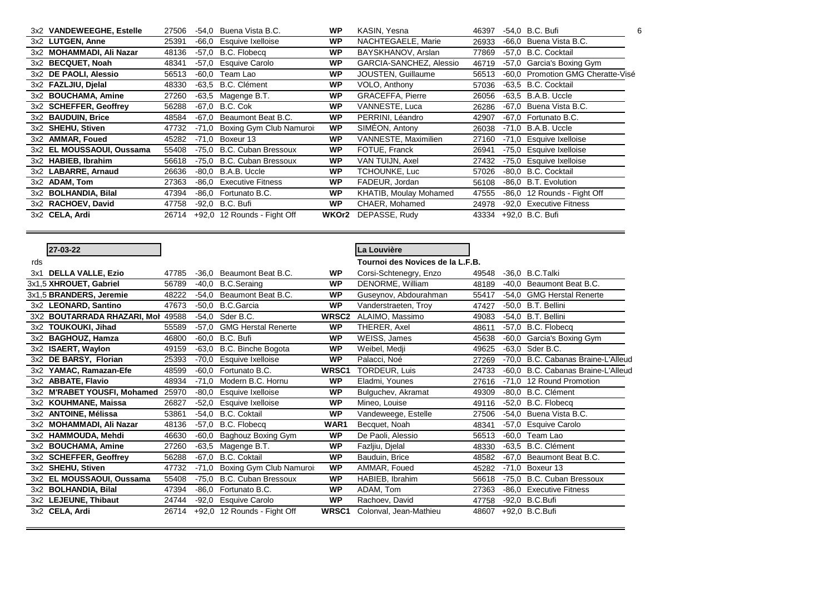| 3x2 VANDEWEEGHE, Estelle  | 27506 |         | -54,0 Buena Vista B.C.      | <b>WP</b> | KASIN, Yesna            | 46397 | -54.0 B.C. Bufi<br>6              |
|---------------------------|-------|---------|-----------------------------|-----------|-------------------------|-------|-----------------------------------|
| 3x2 LUTGEN, Anne          | 25391 |         | -66,0 Esquive Ixelloise     | <b>WP</b> | NACHTEGAELE, Marie      | 26933 | -66.0 Buena Vista B.C.            |
| 3x2 MOHAMMADI, Ali Nazar  | 48136 | -57.0   | B.C. Flobeca                | <b>WP</b> | BAYSKHANOV, Arslan      | 77869 | -57.0 B.C. Cocktail               |
| 3x2 BECQUET, Noah         | 48341 | -57.0   | Esquive Carolo              | <b>WP</b> | GARCIA-SANCHEZ, Alessio | 46719 | -57,0 Garcia's Boxing Gym         |
| 3x2 DE PAOLI, Alessio     | 56513 | $-60,0$ | Team Lao                    | <b>WP</b> | JOUSTEN, Guillaume      | 56513 | -60,0 Promotion GMG Cheratte-Visé |
| 3x2 FAZLJIU, Dielal       | 48330 |         | -63.5 B.C. Clément          | <b>WP</b> | VOLO, Anthony           | 57036 | -63.5 B.C. Cocktail               |
| 3x2 BOUCHAMA, Amine       | 27260 | -63.5   | Magenge B.T.                | <b>WP</b> | <b>GRACEFFA, Pierre</b> | 26056 | $-63.5$ B.A.B. Uccle              |
| 3x2 SCHEFFER, Geoffrey    | 56288 | -67.0   | B.C. Cok                    | <b>WP</b> | VANNESTE, Luca          | 26286 | -67.0 Buena Vista B.C.            |
| 3x2 BAUDUIN, Brice        | 48584 | $-67.0$ | Beaumont Beat B.C.          | <b>WP</b> | PERRINI, Léandro        | 42907 | -67.0 Fortunato B.C.              |
| 3x2 SHEHU, Stiven         | 47732 | $-71.0$ | Boxing Gym Club Namuroi:    | <b>WP</b> | SIMEON, Antony          | 26038 | $-71,0$ B.A.B. Uccle              |
| 3x2 AMMAR, Foued          | 45282 | $-71.0$ | Boxeur 13                   | <b>WP</b> | VANNESTE, Maximilien    | 27160 | -71,0 Esquive Ixelloise           |
| 3x2 EL MOUSSAOUI, Oussama | 55408 |         | -75.0 B.C. Cuban Bressoux   | <b>WP</b> | FOTUE, Franck           | 26941 | -75,0 Esquive Ixelloise           |
| 3x2 HABIEB, Ibrahim       | 56618 |         | -75.0 B.C. Cuban Bressoux   | <b>WP</b> | VAN TUIJN, Axel         | 27432 | -75,0 Esquive Ixelloise           |
| 3x2 LABARRE, Arnaud       | 26636 |         | $-80.0$ B.A.B. Uccle        | <b>WP</b> | TCHOUNKE, Luc           | 57026 | -80.0 B.C. Cocktail               |
| 3x2 ADAM, Tom             | 27363 | -86.0   | <b>Executive Fitness</b>    | <b>WP</b> | FADEUR, Jordan          | 56108 | -86,0 B.T. Evolution              |
| 3x2 BOLHANDIA, Bilal      | 47394 |         | -86.0 Fortunato B.C.        | <b>WP</b> | KHATIB, Moulay Mohamed  | 47555 | -86,0 12 Rounds - Fight Off       |
| 3x2 RACHOEV, David        | 47758 |         | -92,0 B.C. Bufi             | <b>WP</b> | CHAER, Mohamed          | 24978 | -92,0 Executive Fitness           |
| 3x2 CELA, Ardi            | 26714 |         | +92,0 12 Rounds - Fight Off | WKOr2     | DEPASSE, Rudy           | 43334 | +92.0 B.C. Bufi                   |
|                           |       |         |                             |           |                         |       |                                   |

|     | 27-03-22                          |       |         |                             |                   | La Louvière                      |       |         |                                    |
|-----|-----------------------------------|-------|---------|-----------------------------|-------------------|----------------------------------|-------|---------|------------------------------------|
| rds |                                   |       |         |                             |                   | Tournoi des Novices de la L.F.B. |       |         |                                    |
| 3x1 | <b>DELLA VALLE, Ezio</b>          | 47785 | $-36,0$ | Beaumont Beat B.C.          | <b>WP</b>         | Corsi-Schtenegry, Enzo           | 49548 |         | -36.0 B.C.Talki                    |
|     | 3x1,5 XHROUET, Gabriel            | 56789 | $-40.0$ | <b>B.C.Seraing</b>          | <b>WP</b>         | DENORME, William                 | 48189 | $-40.0$ | Beaumont Beat B.C.                 |
|     | 3x1,5 BRANDERS, Jeremie           | 48222 | $-54,0$ | Beaumont Beat B.C.          | <b>WP</b>         | Guseynov, Abdourahman            | 55417 | $-54.0$ | <b>GMG Herstal Renerte</b>         |
|     | 3x2 LEONARD, Santino              | 47673 | $-50,0$ | <b>B.C.Garcia</b>           | <b>WP</b>         | Vanderstraeten, Troy             | 47427 |         | -50,0 B.T. Bellini                 |
|     | 3X2 BOUTARRADA RHAZARI, Mol 49588 |       | $-54,0$ | Sder B.C.                   | WRSC <sub>2</sub> | ALAIMO, Massimo                  | 49083 |         | -54,0 B.T. Bellini                 |
|     | 3x2 TOUKOUKI, Jihad               | 55589 | $-57,0$ | <b>GMG Herstal Renerte</b>  | <b>WP</b>         | THERER, Axel                     | 48611 | $-57.0$ | B.C. Flobecq                       |
|     | 3x2 BAGHOUZ, Hamza                | 46800 | $-60.0$ | B.C. Bufi                   | <b>WP</b>         | WEISS, James                     | 45638 | $-60.0$ | Garcia's Boxing Gym                |
|     | 3x2 ISAERT, Waylon                | 49159 | $-63.0$ | B.C. Binche Bogota          | <b>WP</b>         | Weibel, Medji                    | 49625 |         | -63.0 Sder B.C.                    |
| 3x2 | DE BARSY, Florian                 | 25393 | $-70,0$ | Esquive Ixelloise           | <b>WP</b>         | Palacci, Noé                     | 27269 |         | -70,0 B.C. Cabanas Braine-L'Alleud |
|     | 3x2 YAMAC, Ramazan-Efe            | 48599 | $-60,0$ | Fortunato B.C.              | WRSC1             | TORDEUR, Luis                    | 24733 | -60.0   | B.C. Cabanas Braine-L'Alleud       |
|     | 3x2 ABBATE, Flavio                | 48934 | $-71,0$ | Modern B.C. Hornu           | <b>WP</b>         | Eladmi, Younes                   | 27616 |         | -71,0 12 Round Promotion           |
|     | 3x2 M'RABET YOUSFI, Mohamed       | 25970 | $-80.0$ | Esquive Ixelloise           | <b>WP</b>         | Bulguchev, Akramat               | 49309 |         | -80,0 B.C. Clément                 |
|     | 3x2 KOUHMANE, Maissa              | 26827 | $-52,0$ | Esquive Ixelloise           | <b>WP</b>         | Mineo, Louise                    | 49116 |         | $-52.0$ B.C. Flobecg               |
|     | 3x2 ANTOINE, Mélissa              | 53861 | $-54,0$ | <b>B.C. Coktail</b>         | <b>WP</b>         | Vandeweege, Estelle              | 27506 | $-54.0$ | Buena Vista B.C.                   |
|     | 3x2 MOHAMMADI, Ali Nazar          | 48136 | $-57,0$ | <b>B.C. Flobeca</b>         | WAR1              | Becquet, Noah                    | 48341 | $-57.0$ | <b>Esquive Carolo</b>              |
|     | 3x2 HAMMOUDA, Mehdi               | 46630 | $-60,0$ | Baghouz Boxing Gym          | <b>WP</b>         | De Paoli, Alessio                | 56513 | $-60,0$ | Team Lao                           |
|     | 3x2 BOUCHAMA, Amine               | 27260 | $-63.5$ | Magenge B.T.                | WP                | Fazljiu, Djelal                  | 48330 |         | -63,5 B.C. Clément                 |
|     | $3x2$ SCHEFFER, Geoffrey          | 56288 | $-67,0$ | <b>B.C. Coktail</b>         | <b>WP</b>         | Bauduin, Brice                   | 48582 | -67.0   | Beaumont Beat B.C.                 |
|     | 3x2 SHEHU, Stiven                 | 47732 | $-71,0$ | Boxing Gym Club Namuroi:    | <b>WP</b>         | AMMAR, Foued                     | 45282 |         | $-71,0$ Boxeur 13                  |
|     | 3x2 EL MOUSSAOUI, Oussama         | 55408 | $-75,0$ | <b>B.C. Cuban Bressoux</b>  | <b>WP</b>         | HABIEB, Ibrahim                  | 56618 | $-75.0$ | <b>B.C. Cuban Bressoux</b>         |
|     | 3x2 BOLHANDIA, Bilal              | 47394 | $-86,0$ | Fortunato B.C.              | <b>WP</b>         | ADAM, Tom                        | 27363 | $-86.0$ | <b>Executive Fitness</b>           |
|     | 3x2 LEJEUNE, Thibaut              | 24744 | $-92,0$ | <b>Esquive Carolo</b>       | <b>WP</b>         | Rachoev, David                   | 47758 |         | -92,0 B.C.Bufi                     |
|     | 3x2 CELA, Ardi                    | 26714 |         | +92,0 12 Rounds - Fight Off | WRSC1             | Colonval, Jean-Mathieu           | 48607 |         | +92,0 B.C.Bufi                     |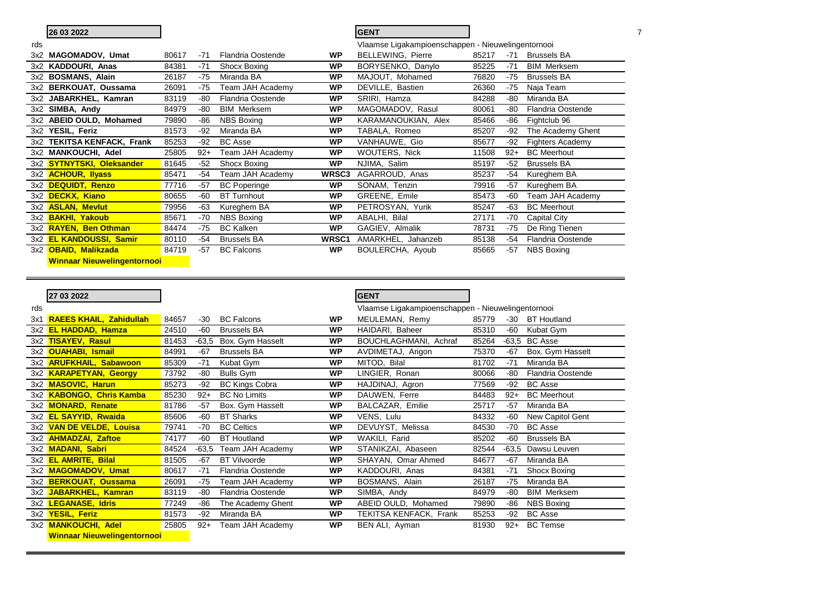|     | 26 03 2022                 |       |       |                          |                   | <b>GENT</b>                                        |       |       |                          |  |
|-----|----------------------------|-------|-------|--------------------------|-------------------|----------------------------------------------------|-------|-------|--------------------------|--|
| rds |                            |       |       |                          |                   | Vlaamse Ligakampioenschappen - Nieuwelingentornooi |       |       |                          |  |
| 3x2 | <b>MAGOMADOV, Umat</b>     | 80617 | $-71$ | <b>Flandria Oostende</b> | <b>WP</b>         | BELLEWING, Pierre                                  | 85217 | $-71$ | <b>Brussels BA</b>       |  |
|     | 3x2 KADDOURI, Anas         | 84381 | $-71$ | Shocx Boxing             | <b>WP</b>         | BORYSENKO, Danylo                                  | 85225 | $-71$ | <b>BIM Merksem</b>       |  |
|     | 3x2 BOSMANS, Alain         | 26187 | $-75$ | Miranda BA               | <b>WP</b>         | MAJOUT, Mohamed                                    | 76820 | $-75$ | <b>Brussels BA</b>       |  |
|     | 3x2 BERKOUAT, Oussama      | 26091 | $-75$ | Team JAH Academy         | <b>WP</b>         | DEVILLE, Bastien                                   | 26360 | $-75$ | Naja Team                |  |
|     | $3x2$ JABARKHEL, Kamran    | 83119 | -80   | <b>Flandria Oostende</b> | <b>WP</b>         | SRIRI, Hamza                                       | 84288 | -80   | Miranda BA               |  |
|     | 3x2 SIMBA, Andy            | 84979 | -80   | <b>BIM Merksem</b>       | <b>WP</b>         | MAGOMADOV, Rasul                                   | 80061 | -80   | <b>Flandria Oostende</b> |  |
|     | 3x2 ABEID OULD, Mohamed    | 79890 | -86   | <b>NBS Boxing</b>        | WP                | KARAMANOUKIAN, Alex                                | 85466 | -86   | Fightclub 96             |  |
|     | 3x2 YESIL, Feriz           | 81573 | $-92$ | Miranda BA               | <b>WP</b>         | TABALA, Romeo                                      | 85207 | -92   | The Academy Ghent        |  |
|     | 3x2 TEKITSA KENFACK, Frank | 85253 | $-92$ | <b>BC</b> Asse           | <b>WP</b>         | VANHAUWE, Gio                                      | 85677 | $-92$ | Fighters Academy         |  |
|     | 3x2 MANKOUCHI, Adel        | 25805 | $92+$ | Team JAH Academy         | <b>WP</b>         | WOUTERS, Nick                                      | 11508 | $92+$ | <b>BC</b> Meerhout       |  |
|     | 3x2 SYTNYTSKI, Oleksander  | 81645 | $-52$ | Shocx Boxing             | <b>WP</b>         | NJIMA, Salim                                       | 85197 | $-52$ | <b>Brussels BA</b>       |  |
|     | 3x2 <b>ACHOUR, Ilyass</b>  | 85471 | -54   | Team JAH Academy         | WRSC <sub>3</sub> | AGARROUD, Anas                                     | 85237 | -54   | Kureghem BA              |  |
|     | 3x2 DEQUIDT, Renzo         | 77716 | $-57$ | <b>BC</b> Poperinge      | <b>WP</b>         | SONAM, Tenzin                                      | 79916 | $-57$ | Kureghem BA              |  |
|     | 3x2 DECKX, Kiano           | 80655 | -60   | <b>BT Turnhout</b>       | <b>WP</b>         | GREENE, Emile                                      | 85473 | -60   | Team JAH Academy         |  |
|     | 3x2 ASLAN, Mevlut          | 79956 | $-63$ | Kureghem BA              | <b>WP</b>         | PETROSYAN, Yurik                                   | 85247 | $-63$ | <b>BC</b> Meerhout       |  |
|     | 3x2 <b>BAKHI, Yakoub</b>   | 85671 | -70   | <b>NBS Boxing</b>        | <b>WP</b>         | ABALHI, Bilal                                      | 27171 | -70   | <b>Capital City</b>      |  |
|     | 3x2 RAYEN, Ben Othman      | 84474 | $-75$ | <b>BC Kalken</b>         | <b>WP</b>         | GAGIEV, Almalik                                    | 78731 | $-75$ | De Ring Tienen           |  |
|     | 3x2 EL KANDOUSSI, Samir    | 80110 | -54   | <b>Brussels BA</b>       | WRSC1             | AMARKHEL, Jahanzeb                                 | 85138 | $-54$ | Flandria Oostende        |  |
|     | 3x2 OBAID, Malikzada       | 84719 | $-57$ | <b>BC Falcons</b>        | <b>WP</b>         | BOULERCHA, Ayoub                                   | 85665 | $-57$ | <b>NBS Boxing</b>        |  |

**Winnaar Nieuwelingentornooi**

|     | 27 03 2022                         |       |         |                          |           | <b>GENT</b>                                        |       |       |                          |
|-----|------------------------------------|-------|---------|--------------------------|-----------|----------------------------------------------------|-------|-------|--------------------------|
| rds |                                    |       |         |                          |           | Vlaamse Ligakampioenschappen - Nieuwelingentornooi |       |       |                          |
|     | 3x1 RAEES KHAIL, Zahidullah        | 84657 | -30     | <b>BC Falcons</b>        | WP        | MEULEMAN, Remy                                     | 85779 | -30   | <b>BT Houtland</b>       |
|     | 3x2 <b>EL HADDAD, Hamza</b>        | 24510 | -60     | <b>Brussels BA</b>       | <b>WP</b> | HAIDARI, Baheer                                    | 85310 | -60   | Kubat Gym                |
|     | 3x2 TISAYEV, Rasul                 | 81453 | $-63.5$ | Box. Gym Hasselt         | <b>WP</b> | BOUCHLAGHMANI, Achraf                              | 85264 |       | $-63,5$ BC Asse          |
|     | 3x2 OUAHABI, Ismail                | 84991 | $-67$   | <b>Brussels BA</b>       | WP        | AVDIMETAJ, Arigon                                  | 75370 | -67   | Box. Gym Hasselt         |
|     | 3x2 <b>ARUFKHAIL, Sabawoon</b>     | 85309 | $-71$   | Kubat Gym                | <b>WP</b> | MITOD, Bilal                                       | 81702 | $-71$ | Miranda BA               |
|     | 3x2 KARAPETYAN, Georgy             | 73792 | -80     | <b>Bulls Gym</b>         | <b>WP</b> | LINGIER, Ronan                                     | 80066 | -80   | <b>Flandria Oostende</b> |
|     | 3x2 MASOVIC, Harun                 | 85273 | $-92$   | <b>BC Kings Cobra</b>    | <b>WP</b> | HAJDINAJ, Agron                                    | 77569 | -92   | <b>BC</b> Asse           |
|     | 3x2 KABONGO, Chris Kamba           | 85230 | $92+$   | <b>BC No Limits</b>      | <b>WP</b> | DAUWEN, Ferre                                      | 84483 | $92+$ | <b>BC</b> Meerhout       |
|     | 3x2 MONARD, Renate                 | 81786 | $-57$   | Box. Gym Hasselt         | WP        | BALCAZAR, Emilie                                   | 25717 | $-57$ | Miranda BA               |
|     | 3x2 EL SAYYID, Rwaida              | 85606 | $-60$   | <b>BT Sharks</b>         | <b>WP</b> | VENS, Lulu                                         | 84332 | -60   | New Capitol Gent         |
|     | 3x2 VAN DE VELDE, Louisa           | 79741 | -70     | <b>BC Celtics</b>        | WP        | DEVUYST, Melissa                                   | 84530 | -70   | <b>BC</b> Asse           |
|     | 3x2 <b>AHMADZAI, Zaftoe</b>        | 74177 | -60     | <b>BT</b> Houtland       | <b>WP</b> | WAKILI, Farid                                      | 85202 | -60   | <b>Brussels BA</b>       |
|     | 3x2 MADANI, Sabri                  | 84524 | $-63.5$ | Team JAH Academy         | <b>WP</b> | STANIKZAI, Abaseen                                 | 82544 |       | -63,5 Dawsu Leuven       |
|     | 3x2 <b>EL AMRITE, Bilal</b>        | 81505 | $-67$   | <b>BT</b> Vilvoorde      | <b>WP</b> | SHAYAN, Omar Ahmed                                 | 84677 | $-67$ | Miranda BA               |
|     | 3x2 MAGOMADOV, Umat                | 80617 | $-71$   | <b>Flandria Oostende</b> | <b>WP</b> | KADDOURI, Anas                                     | 84381 | $-71$ | Shocx Boxing             |
|     | 3x2 BERKOUAT, Oussama              | 26091 | $-75$   | Team JAH Academy         | <b>WP</b> | BOSMANS, Alain                                     | 26187 | $-75$ | Miranda BA               |
|     | 3x2 JABARKHEL, Kamran              | 83119 | $-80$   | <b>Flandria Oostende</b> | <b>WP</b> | SIMBA, Andy                                        | 84979 | -80   | <b>BIM Merksem</b>       |
|     | 3x2 LEGANASE, Idris                | 77249 | -86     | The Academy Ghent        | <b>WP</b> | ABEID OULD, Mohamed                                | 79890 | -86   | <b>NBS Boxing</b>        |
|     | 3x2 YESIL, Feriz                   | 81573 | $-92$   | Miranda BA               | <b>WP</b> | TEKITSA KENFACK, Frank                             | 85253 | -92   | <b>BC</b> Asse           |
|     | 3x2 MANKOUCHI, Adel                | 25805 | $92+$   | Team JAH Academy         | WP        | BEN ALI, Ayman                                     | 81930 | $92+$ | <b>BC Temse</b>          |
|     | <b>Winnaar Nieuwelingentornooi</b> |       |         |                          |           |                                                    |       |       |                          |

 $\overline{\phantom{a}}$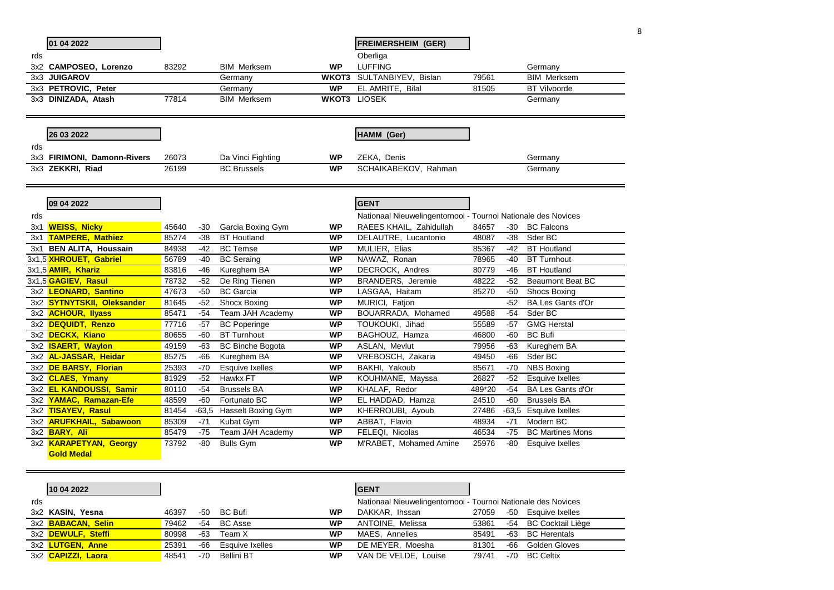|     | 01 04 2022                            |       |       |                          |           | <b>FREIMERSHEIM (GER)</b>                                     |        |       |                         |
|-----|---------------------------------------|-------|-------|--------------------------|-----------|---------------------------------------------------------------|--------|-------|-------------------------|
| rds |                                       |       |       |                          |           | Oberliga                                                      |        |       |                         |
|     |                                       |       |       | <b>BIM Merksem</b>       | <b>WP</b> | <b>LUFFING</b>                                                |        |       | Germany                 |
|     | 3x2 CAMPOSEO, Lorenzo<br>3x3 JUIGAROV | 83292 |       |                          | WKOT3     | SULTANBIYEV, Bislan                                           | 79561  |       | <b>BIM Merksem</b>      |
|     | 3x3 PETROVIC, Peter                   |       |       | Germany<br>Germany       | <b>WP</b> | EL AMRITE, Bilal                                              | 81505  |       | <b>BT Vilvoorde</b>     |
|     | 3x3 DINIZADA, Atash                   | 77814 |       | <b>BIM Merksem</b>       |           | <b>WKOT3 LIOSEK</b>                                           |        |       |                         |
|     |                                       |       |       |                          |           |                                                               |        |       | Germany                 |
|     |                                       |       |       |                          |           |                                                               |        |       |                         |
|     | 26 03 2022                            |       |       |                          |           | HAMM (Ger)                                                    |        |       |                         |
| rds |                                       |       |       |                          |           |                                                               |        |       |                         |
|     | 3x3 FIRIMONI, Damonn-Rivers           | 26073 |       | Da Vinci Fighting        | <b>WP</b> | ZEKA, Denis                                                   |        |       | Germany                 |
|     | 3x3 ZEKKRI, Riad                      | 26199 |       | <b>BC Brussels</b>       | <b>WP</b> | SCHAIKABEKOV, Rahman                                          |        |       | Germany                 |
|     |                                       |       |       |                          |           |                                                               |        |       |                         |
|     |                                       |       |       |                          |           |                                                               |        |       |                         |
|     | 09 04 2022                            |       |       |                          |           | <b>GENT</b>                                                   |        |       |                         |
| rds |                                       |       |       |                          |           | Nationaal Nieuwelingentornooi - Tournoi Nationale des Novices |        |       |                         |
|     | 3x1 WEISS, Nicky                      | 45640 | $-30$ | Garcia Boxing Gym        | <b>WP</b> | RAEES KHAIL, Zahidullah                                       | 84657  | -30   | <b>BC Falcons</b>       |
|     | 3x1 TAMPERE, Mathiez                  | 85274 | $-38$ | <b>BT</b> Houtland       | <b>WP</b> | DELAUTRE, Lucantonio                                          | 48087  | -38   | Sder BC                 |
|     | 3x1 BEN ALITA, Houssain               | 84938 | $-42$ | <b>BC</b> Temse          | <b>WP</b> | MULIER, Elias                                                 | 85367  | $-42$ | <b>BT</b> Houtland      |
|     | 3x1.5 XHROUET, Gabriel                | 56789 | -40   | <b>BC</b> Seraing        | <b>WP</b> | NAWAZ, Ronan                                                  | 78965  | -40   | <b>BT Turnhout</b>      |
|     | 3x1,5 <b>AMIR, Khariz</b>             | 83816 | -46   | Kureghem BA              | <b>WP</b> | <b>DECROCK, Andres</b>                                        | 80779  | -46   | <b>BT</b> Houtland      |
|     | 3x1,5 GAGIEV, Rasul                   | 78732 | $-52$ | De Ring Tienen           | <b>WP</b> | BRANDERS, Jeremie                                             | 48222  | -52   | <b>Beaumont Beat BC</b> |
|     | 3x2 LEONARD, Santino                  | 47673 | $-50$ | <b>BC</b> Garcia         | <b>WP</b> | LASGAA, Haitam                                                | 85270  | $-50$ | <b>Shocs Boxing</b>     |
|     | 3x2 SYTNYTSKII, Oleksander            | 81645 | $-52$ | Shocx Boxing             | <b>WP</b> | MURICI, Fatjon                                                |        | $-52$ | BA Les Gants d'Or       |
|     | 3x2 <b>ACHOUR, Ilyass</b>             | 85471 | -54   | Team JAH Academy         | <b>WP</b> | BOUARRADA, Mohamed                                            | 49588  | -54   | Sder BC                 |
|     | 3x2 DEQUIDT, Renzo                    | 77716 | $-57$ | <b>BC</b> Poperinge      | <b>WP</b> | TOUKOUKI, Jihad                                               | 55589  | -57   | <b>GMG Herstal</b>      |
|     | 3x2 DECKX, Kiano                      | 80655 | -60   | <b>BT Turnhout</b>       | <b>WP</b> | BAGHOUZ, Hamza                                                | 46800  | -60   | <b>BC Bufi</b>          |
|     | 3x2 <b>ISAERT, Waylon</b>             | 49159 | -63   | <b>BC Binche Bogota</b>  | <b>WP</b> | ASLAN, Mevlut                                                 | 79956  | -63   | Kureghem BA             |
|     | 3x2 AL-JASSAR, Heidar                 | 85275 | -66   | Kureghem BA              | <b>WP</b> | VREBOSCH, Zakaria                                             | 49450  | -66   | Sder BC                 |
|     | 3x2 DE BARSY, Florian                 | 25393 | $-70$ | Esquive Ixelles          | <b>WP</b> | BAKHI, Yakoub                                                 | 85671  | -70   | <b>NBS Boxing</b>       |
|     | 3x2 CLAES, Ymany                      | 81929 | $-52$ | Hawkx FT                 | <b>WP</b> | KOUHMANE, Mayssa                                              | 26827  | $-52$ | <b>Esquive Ixelles</b>  |
|     | 3x2 EL KANDOUSSI, Samir               | 80110 | $-54$ | <b>Brussels BA</b>       | <b>WP</b> | KHALAF, Redor                                                 | 489*20 | $-54$ | BA Les Gants d'Or       |
|     | 3x2 YAMAC, Ramazan-Efe                | 48599 | -60   | Fortunato BC             | <b>WP</b> | EL HADDAD, Hamza                                              | 24510  | -60   | <b>Brussels BA</b>      |
|     | 3x2 TISAYEV, Rasul                    | 81454 |       | -63,5 Hasselt Boxing Gym | <b>WP</b> | KHERROUBI, Ayoub                                              | 27486  |       | -63,5 Esquive Ixelles   |
|     | 3x2 ARUFKHAIL, Sabawoon               | 85309 | $-71$ | Kubat Gym                | <b>WP</b> | ABBAT, Flavio                                                 | 48934  | $-71$ | Modern BC               |
|     | 3x2 <b>BARY, Ali</b>                  | 85479 | $-75$ | Team JAH Academy         | <b>WP</b> | FELEQI, Nicolas                                               | 46534  | $-75$ | <b>BC Martines Mons</b> |
|     | 3x2 KARAPETYAN, Georgy                | 73792 | $-80$ | <b>Bulls Gym</b>         | <b>WP</b> | M'RABET, Mohamed Amine                                        | 25976  | $-80$ | Esquive Ixelles         |
|     | <b>Gold Medal</b>                     |       |       |                          |           |                                                               |        |       |                         |
|     |                                       |       |       |                          |           |                                                               |        |       |                         |
|     |                                       |       |       |                          |           |                                                               |        |       |                         |
|     | 10 04 2022                            |       |       |                          |           | <b>GENT</b>                                                   |        |       |                         |
|     |                                       |       |       |                          |           |                                                               |        |       |                         |

|     | I IV VT LVLL                    |       |     |                 |    | .                                                             |       |                       |
|-----|---------------------------------|-------|-----|-----------------|----|---------------------------------------------------------------|-------|-----------------------|
| rds |                                 |       |     |                 |    | Nationaal Nieuwelingentornooi - Tournoi Nationale des Novices |       |                       |
|     | 3x2 KASIN, Yesna                | 46397 | -50 | BC Bufi         | WP | DAKKAR, Ihssan                                                | 27059 | -50 Esquive Ixelles   |
|     | 3x2 BABACAN, Selin              | 79462 |     | -54 BC Asse     | WP | ANTOINE, Melissa                                              | 53861 | -54 BC Cocktail Liège |
|     | 3x2 <mark>DEWULF, Steffi</mark> | 80998 | -63 | Team X          | WP | MAES. Annelies                                                | 85491 | -63 BC Herentals      |
|     | 3x2 <mark>LUTGEN, Anne</mark>   | 25391 | -66 | Esquive Ixelles | WP | DE MEYER. Moesha                                              | 81301 | -66 Golden Gloves     |
|     | 3x2 <mark>CAPIZZI, Laora</mark> | 48541 | -70 | Bellini BT      | WP | VAN DE VELDE, Louise                                          | 79741 | -70 BC Celtix         |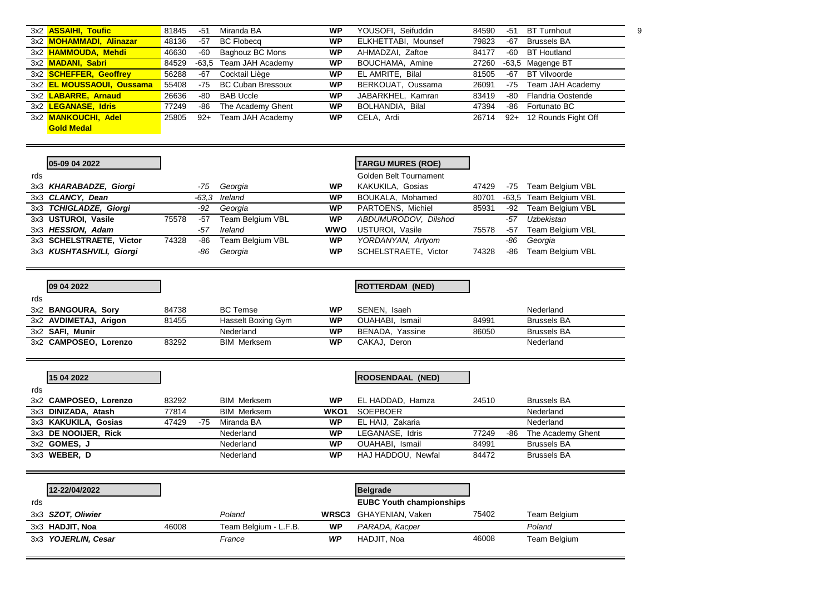| 3x2 <b>ASSAIHI, Toufic</b>       | 81845 | -51   | Miranda BA               | WP        | YOUSOFI, Seifuddin  | 84590 | $-51$ | <b>BT Turnhout</b>  |  |
|----------------------------------|-------|-------|--------------------------|-----------|---------------------|-------|-------|---------------------|--|
| 3x2 MOHAMMADI, Alinazar          | 48136 | $-57$ | <b>BC Flobecq</b>        | <b>WP</b> | ELKHETTABI, Mounsef | 79823 | $-67$ | <b>Brussels BA</b>  |  |
| 3x2 HAMMOUDA, Mehdi              | 46630 | -60   | Baghouz BC Mons          | WP        | AHMADZAI, Zaftoe    | 84177 | -60   | <b>BT Houtland</b>  |  |
| 3x2 <b>MADANI, Sabri</b>         | 84529 |       | -63,5 Team JAH Academy   | <b>WP</b> | BOUCHAMA, Amine     | 27260 |       | -63,5 Magenge BT    |  |
| 3x2 SCHEFFER, Geoffrey           | 56288 | -67   | Cocktail Liège           | <b>WP</b> | EL AMRITE, Bilal    | 81505 | -67   | BT Vilvoorde        |  |
| 3x2 <b>EL MOUSSAOUI, Oussama</b> | 55408 | -75   | <b>BC Cuban Bressoux</b> | <b>WP</b> | BERKOUAT, Oussama   | 26091 | -75   | Team JAH Academy    |  |
| 3x2 LABARRE, Arnaud              | 26636 | -80   | BAB Uccle                | <b>WP</b> | JABARKHEL, Kamran   | 83419 | -80   | Flandria Oostende   |  |
| 3x2 LEGANASE, Idris              | 77249 | -86   | The Academy Ghent        | <b>WP</b> | BOLHANDIA, Bilal    | 47394 | -86   | Fortunato BC        |  |
| 3x2 MANKOUCHI. Adel              | 25805 | $92+$ | Team JAH Academy         | <b>WP</b> | CELA, Ardi          | 26714 | $92+$ | 12 Rounds Fight Off |  |
| <b>Gold Medal</b>                |       |       |                          |           |                     |       |       |                     |  |

|     | 05-09 04 2022            |       |       |                  |            | <b>TARGU MURES (ROE)</b> |       |     |                         |
|-----|--------------------------|-------|-------|------------------|------------|--------------------------|-------|-----|-------------------------|
| rds |                          |       |       |                  |            | Golden Belt Tournament   |       |     |                         |
|     | 3x3 KHARABADZE, Giorgi   |       | -75   | Georgia          | <b>WP</b>  | KAKUKILA, Gosias         | 47429 | -75 | Team Belgium VBL        |
|     | 3x3 CLANCY, Dean         |       | -63.3 | Ireland          | <b>WP</b>  | BOUKALA, Mohamed         | 80701 |     | -63,5 Team Belgium VBL  |
|     | 3x3 TCHIGLADZE, Giorgi   |       | -92   | Georgia          | <b>WP</b>  | PARTOENS, Michiel        | 85931 | -92 | Team Belgium VBL        |
|     | 3x3 USTUROI, Vasile      | 75578 | -57   | Team Belgium VBL | <b>WP</b>  | ABDUMURODOV, Dilshod     |       | -57 | Uzbekistan              |
|     | 3x3 HESSION, Adam        |       | -57   | Ireland          | <b>WWO</b> | USTUROI, Vasile          | 75578 | -57 | Team Belgium VBL        |
|     | 3x3 SCHELSTRAETE, Victor | 74328 | -86   | Team Belgium VBL | <b>WP</b>  | YORDANYAN, Artyom        |       | -86 | Georgia                 |
|     | 3x3 KUSHTASHVILI, Giorgi |       | -86   | Georgia          | <b>WP</b>  | SCHELSTRAETE, Victor     | 74328 | -86 | <b>Team Belgium VBL</b> |

|     | 09 04 2022            |       |                    |           | <b>ROTTERDAM (NED)</b> |       |                    |  |
|-----|-----------------------|-------|--------------------|-----------|------------------------|-------|--------------------|--|
| rds |                       |       |                    |           |                        |       |                    |  |
|     | 3x2 BANGOURA, Sory    | 84738 | <b>BC</b> Temse    | <b>WP</b> | SENEN. Isaeh           |       | Nederland          |  |
|     | 3x2 AVDIMETAJ, Arigon | 81455 | Hasselt Boxing Gym | <b>WP</b> | OUAHABI, Ismail        | 84991 | <b>Brussels BA</b> |  |
|     | 3x2 SAFI, Munir       |       | Nederland          | <b>WP</b> | BENADA. Yassine        | 86050 | <b>Brussels BA</b> |  |
|     | 3x2 CAMPOSEO, Lorenzo | 83292 | <b>BIM Merksem</b> | <b>WP</b> | CAKAJ, Deron           |       | Nederland          |  |

|     | 15 04 2022            |       |     |                    |                  | <b>ROOSENDAAL (NED)</b> |       |     |                    |
|-----|-----------------------|-------|-----|--------------------|------------------|-------------------------|-------|-----|--------------------|
| rds |                       |       |     |                    |                  |                         |       |     |                    |
|     | 3x2 CAMPOSEO, Lorenzo | 83292 |     | <b>BIM Merksem</b> | <b>WP</b>        | EL HADDAD, Hamza        | 24510 |     | <b>Brussels BA</b> |
|     | 3x3 DINIZADA, Atash   | 77814 |     | <b>BIM Merksem</b> | WKO <sub>1</sub> | <b>SOEPBOER</b>         |       |     | Nederland          |
|     | 3x3 KAKUKILA, Gosias  | 47429 | -75 | Miranda BA         | <b>WP</b>        | EL HAIJ. Zakaria        |       |     | Nederland          |
|     | 3x3 DE NOOIJER, Rick  |       |     | Nederland          | <b>WP</b>        | LEGANASE, Idris         | 77249 | -86 | The Academy Ghent  |
|     | 3x2 GOMES, J          |       |     | Nederland          | <b>WP</b>        | <b>OUAHABI.</b> Ismail  | 84991 |     | <b>Brussels BA</b> |
|     | 3x3 WEBER, D          |       |     | Nederland          | WP               | HAJ HADDOU, Newfal      | 84472 |     | <b>Brussels BA</b> |

|     | 12-22/04/2022       |       |                       |    | <b>Belgrade</b>                 |       |              |
|-----|---------------------|-------|-----------------------|----|---------------------------------|-------|--------------|
| rds |                     |       |                       |    | <b>EUBC Youth championships</b> |       |              |
|     | 3x3 SZOT, Oliwier   |       | Poland                |    | <b>WRSC3</b> GHAYENIAN, Vaken   | 75402 | Team Belgium |
|     | 3x3 HADJIT, Noa     | 46008 | Team Belgium - L.F.B. | WP | PARADA, Kacper                  |       | Poland       |
|     | 3x3 YOJERLIN, Cesar |       | France                | WP | HADJIT. Noa                     | 46008 | Team Belgium |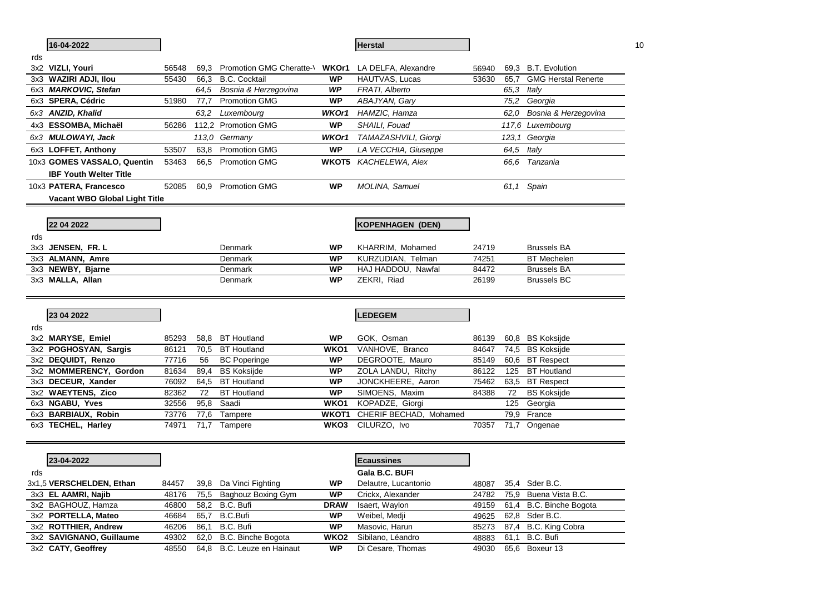|     | 16-04-2022                    |       |      |                                                    |                   | <b>Herstal</b>          |       |      |                            | 10 |
|-----|-------------------------------|-------|------|----------------------------------------------------|-------------------|-------------------------|-------|------|----------------------------|----|
| rds |                               |       |      |                                                    |                   |                         |       |      |                            |    |
|     | 3x2 VIZLI, Youri              | 56548 | 69.3 | Promotion GMG Cheratte-\ WKOr1 LA DELFA, Alexandre |                   |                         | 56940 |      | 69,3 B.T. Evolution        |    |
|     | 3x3 WAZIRI ADJI, Ilou         | 55430 | 66,3 | <b>B.C. Cocktail</b>                               | <b>WP</b>         | HAUTVAS, Lucas          | 53630 | 65,7 | <b>GMG Herstal Renerte</b> |    |
|     | 6x3 MARKOVIC, Stefan          |       | 64.5 | Bosnia & Herzegovina                               | WP                | FRATI, Alberto          |       | 65,3 | Italy                      |    |
|     | 6x3 SPERA, Cédric             | 51980 | 77,7 | <b>Promotion GMG</b>                               | WP                | ABAJYAN, Gary           |       | 75,2 | Georgia                    |    |
|     | 6x3 ANZID, Khalid             |       |      | 63,2 Luxembourg                                    | WKOr1             | HAMZIC, Hamza           |       | 62.0 | Bosnia & Herzegovina       |    |
|     | 4x3 ESSOMBA, Michaël          | 56286 |      | 112,2 Promotion GMG                                | WP                | SHAILI, Fouad           |       |      | 117,6 Luxembourg           |    |
|     | 6x3 MULOWAYI, Jack            |       |      | 113.0 Germany                                      | WKOr1             | TAMAZASHVILI, Giorgi    |       |      | 123,1 Georgia              |    |
|     | 6x3 LOFFET, Anthony           | 53507 | 63,8 | <b>Promotion GMG</b>                               | WP                | LA VECCHIA, Giuseppe    |       | 64,5 | Italy                      |    |
|     | 10x3 GOMES VASSALO, Quentin   | 53463 |      | 66,5 Promotion GMG                                 | <b>WKOT5</b>      | KACHELEWA, Alex         |       |      | 66.6 Tanzania              |    |
|     | <b>IBF Youth Welter Title</b> |       |      |                                                    |                   |                         |       |      |                            |    |
|     | 10x3 PATERA, Francesco        | 52085 |      | 60,9 Promotion GMG                                 | <b>WP</b>         | MOLINA, Samuel          |       |      | 61,1 Spain                 |    |
|     | Vacant WBO Global Light Title |       |      |                                                    |                   |                         |       |      |                            |    |
|     |                               |       |      |                                                    |                   |                         |       |      |                            |    |
|     | 22 04 2022                    |       |      |                                                    |                   | <b>KOPENHAGEN (DEN)</b> |       |      |                            |    |
| rds |                               |       |      |                                                    |                   |                         |       |      |                            |    |
|     | 3x3 JENSEN, FR. L             |       |      | Denmark                                            | WP                | KHARRIM, Mohamed        | 24719 |      | <b>Brussels BA</b>         |    |
|     | 3x3 ALMANN, Amre              |       |      | Denmark                                            | WP                | KURZUDIAN, Telman       | 74251 |      | <b>BT</b> Mechelen         |    |
|     | 3x3 NEWBY, Bjarne             |       |      | Denmark                                            | <b>WP</b>         | HAJ HADDOU, Nawfal      | 84472 |      | <b>Brussels BA</b>         |    |
|     | 3x3 MALLA, Allan              |       |      | Denmark                                            | WP                | ZEKRI, Riad             | 26199 |      | <b>Brussels BC</b>         |    |
|     |                               |       |      |                                                    |                   |                         |       |      |                            |    |
|     |                               |       |      |                                                    |                   |                         |       |      |                            |    |
|     | 23 04 2022                    |       |      |                                                    |                   | LEDEGEM                 |       |      |                            |    |
| rds |                               |       |      |                                                    |                   |                         |       |      |                            |    |
|     | 3x2 MARYSE, Emiel             | 85293 | 58,8 | <b>BT Houtland</b>                                 | WP                | GOK, Osman              | 86139 |      | 60,8 BS Koksijde           |    |
|     | 3x2 POGHOSYAN, Sargis         | 86121 |      | 70,5 BT Houtland                                   | WKO1              | VANHOVE, Branco         | 84647 |      | 74,5 BS Koksijde           |    |
|     | 3x2 DEQUIDT, Renzo            | 77716 | 56   | <b>BC Poperinge</b>                                | <b>WP</b>         | DEGROOTE, Mauro         | 85149 |      | 60,6 BT Respect            |    |
|     | 3x2 MOMMERENCY, Gordon        | 81634 | 89,4 | <b>BS Koksijde</b>                                 | WP                | ZOLA LANDU, Ritchy      | 86122 | 125  | <b>BT Houtland</b>         |    |
|     | 3x3 DECEUR, Xander            | 76092 | 64,5 | <b>BT</b> Houtland                                 | WP                | JONCKHEERE, Aaron       | 75462 |      | 63,5 BT Respect            |    |
|     | 3x2 WAEYTENS, Zico            | 82362 | 72   | <b>BT</b> Houtland                                 | WP                | SIMOENS, Maxim          | 84388 | 72   | <b>BS Koksijde</b>         |    |
|     | 6x3 NGABU, Yves               | 32556 | 95,8 | Saadi                                              | WKO <sub>1</sub>  | KOPADZE, Giorgi         |       | 125  | Georgia                    |    |
|     | 6x3 BARBIAUX, Robin           | 73776 | 77,6 | Tampere                                            | WKOT <sub>1</sub> | CHERIF BECHAD, Mohamed  |       |      | 79,9 France                |    |
|     | 6x3 TECHEL, Harley            | 74971 |      | 71,7 Tampere                                       | WKO3              | CILURZO, Ivo            | 70357 |      | 71,7 Ongenae               |    |
|     |                               |       |      |                                                    |                   |                         |       |      |                            |    |
|     | 23-04-2022                    |       |      |                                                    |                   | <b>Ecaussines</b>       |       |      |                            |    |
| rds |                               |       |      |                                                    |                   | Gala B.C. BUFI          |       |      |                            |    |
|     | 3x1,5 VERSCHELDEN, Ethan      | 84457 |      | 39,8 Da Vinci Fighting                             | WP                | Delautre, Lucantonio    |       |      | 48087 35,4 Sder B.C.       |    |
|     | 3x3 EL AAMRI, Najib           | 48176 |      | 75,5 Baghouz Boxing Gym                            | WP                | Crickx, Alexander       | 24782 |      | 75,9 Buena Vista B.C.      |    |
|     | 3x2 BAGHOUZ, Hamza            | 46800 | 58,2 | B.C. Bufi                                          | <b>DRAW</b>       | Isaert, Waylon          | 49159 |      | 61,4 B.C. Binche Bogota    |    |
|     | 3x2 PORTELLA, Mateo           | 46684 | 65,7 | B.C.Bufi                                           | <b>WP</b>         | Weibel, Medji           | 49625 |      | 62,8 Sder B.C.             |    |
|     | 3x2 ROTTHIER, Andrew          | 46206 | 86,1 | B.C. Bufi                                          | WP                | Masovic, Harun          | 85273 |      | 87,4 B.C. King Cobra       |    |
|     | 3x2 SAVIGNANO, Guillaume      | 49302 |      | 62,0 B.C. Binche Bogota                            | WKO <sub>2</sub>  | Sibilano, Léandro       | 48883 | 61,1 | B.C. Bufi                  |    |
|     | 3x2 CATY, Geoffrey            | 48550 |      | 64,8 B.C. Leuze en Hainaut                         | <b>WP</b>         | Di Cesare, Thomas       | 49030 |      | 65,6 Boxeur 13             |    |
|     |                               |       |      |                                                    |                   |                         |       |      |                            |    |

 $\blacksquare$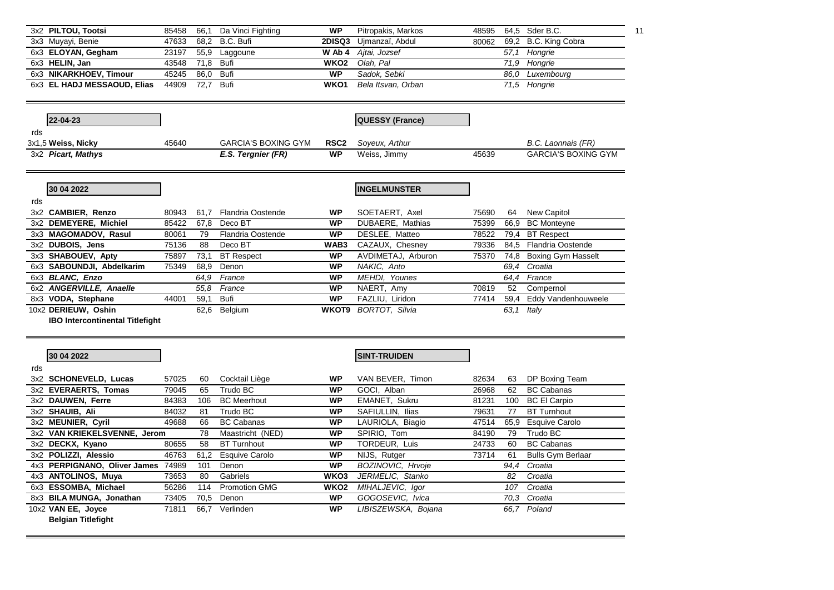|     | 3x2 PILTOU, Tootsi                     | 85458 | 66,1 | Da Vinci Fighting          | <b>WP</b>                     | Pitropakis, Markos     | 48595 |      | 64,5 Sder B.C.             | 11 |
|-----|----------------------------------------|-------|------|----------------------------|-------------------------------|------------------------|-------|------|----------------------------|----|
|     | 3x3 Muyayi, Benie                      | 47633 | 68,2 | B.C. Bufi                  | 2DISQ3                        | Ujmanzaï, Abdul        | 80062 |      | 69,2 B.C. King Cobra       |    |
|     | 6x3 ELOYAN, Gegham                     | 23197 | 55,9 | Laggoune                   | W Ab 4                        | Aitai, Jozsef          |       | 57,1 | Hongrie                    |    |
|     | 6x3 HELIN, Jan                         | 43548 | 71,8 | <b>Bufi</b>                | WKO <sub>2</sub>              | Olah, Pal              |       |      | 71,9 Hongrie               |    |
|     | 6x3 NIKARKHOEV, Timour                 | 45245 | 86,0 | <b>Bufi</b>                | <b>WP</b>                     | Sadok, Sebki           |       |      | 86.0 Luxembourg            |    |
|     | 6x3 EL HADJ MESSAOUD, Elias            | 44909 | 72,7 | <b>Bufi</b>                | WKO1                          | Bela Itsvan, Orban     |       |      | 71,5 Hongrie               |    |
|     | 22-04-23                               |       |      |                            |                               | <b>QUESSY (France)</b> |       |      |                            |    |
|     |                                        |       |      |                            |                               |                        |       |      |                            |    |
| rds |                                        |       |      |                            |                               |                        |       |      |                            |    |
|     | 3x1,5 Weiss, Nicky                     | 45640 |      | <b>GARCIA'S BOXING GYM</b> | RSC <sub>2</sub><br><b>WP</b> | Soyeux, Arthur         | 45639 |      | B.C. Laonnais (FR)         |    |
|     | 3x2 Picart, Mathys                     |       |      | E.S. Tergnier (FR)         |                               | Weiss, Jimmy           |       |      | <b>GARCIA'S BOXING GYM</b> |    |
|     | 30 04 2022                             |       |      |                            |                               | <b>INGELMUNSTER</b>    |       |      |                            |    |
| rds | 3x2 CAMBIER, Renzo                     | 80943 | 61,7 | <b>Flandria Oostende</b>   | <b>WP</b>                     | SOETAERT, Axel         | 75690 | 64   | <b>New Capitol</b>         |    |
|     | 3x2 DEMEYERE, Michiel                  | 85422 | 67,8 | Deco BT                    | <b>WP</b>                     | DUBAERE, Mathias       | 75399 | 66,9 | <b>BC</b> Monteyne         |    |
|     | 3x3 MAGOMADOV, Rasul                   | 80061 | 79   | Flandria Oostende          | <b>WP</b>                     | DESLEE, Matteo         | 78522 |      | 79,4 BT Respect            |    |
|     | 3x2 DUBOIS, Jens                       | 75136 | 88   | Deco BT                    | WAB3                          | CAZAUX, Chesney        | 79336 |      | 84,5 Flandria Oostende     |    |
|     | 3x3 SHABOUEV, Apty                     | 75897 | 73,1 | <b>BT Respect</b>          | <b>WP</b>                     | AVDIMETAJ, Arburon     | 75370 |      | 74,8 Boxing Gym Hasselt    |    |
|     | 6x3 SABOUNDJI, Abdelkarim              | 75349 | 68,9 | Denon                      | <b>WP</b>                     | NAKIC, Anto            |       | 69,4 | Croatia                    |    |
|     | 6x3 BLANC, Enzo                        |       | 64.9 | France                     | <b>WP</b>                     | MEHDI, Younes          |       | 64,4 | France                     |    |
|     | 6x2 ANGERVILLE, Anaelle                |       | 55,8 | France                     | WP                            | NAERT, Amy             | 70819 | 52   | Compernol                  |    |
|     | 8x3 VODA, Stephane                     | 44001 | 59,1 | <b>Bufi</b>                | <b>WP</b>                     | FAZLIU, Liridon        | 77414 | 59,4 | Eddy Vandenhouweele        |    |
|     | 10x2 DERIEUW, Oshin                    |       | 62,6 | Belgium                    | WKOT9                         | <b>BORTOT, Silvia</b>  |       | 63,1 | Italv                      |    |
|     | <b>IBO Intercontinental Titlefight</b> |       |      |                            |                               |                        |       |      |                            |    |
|     | 30 04 2022                             |       |      |                            |                               | <b>SINT-TRUIDEN</b>    |       |      |                            |    |
| rds |                                        |       |      |                            |                               |                        |       |      |                            |    |
|     | 3x2 SCHONEVELD, Lucas                  | 57025 | 60   | Cocktail Liège             | <b>WP</b>                     | VAN BEVER, Timon       | 82634 | 63   | DP Boxing Team             |    |
|     | 3x2 EVERAERTS, Tomas                   | 79045 | 65   | Trudo BC                   | <b>WP</b>                     | GOCI, Alban            | 26968 | 62   | <b>BC Cabanas</b>          |    |
|     | 3x2 DAUWEN, Ferre                      | 84383 | 106  | <b>BC</b> Meerhout         | <b>WP</b>                     | EMANET, Sukru          | 81231 | 100  | <b>BC El Carpio</b>        |    |
|     | 3x2 SHAUIB, Ali                        | 84032 | 81   | Trudo BC                   | <b>WP</b>                     | SAFIULLIN, Ilias       | 79631 | 77   | <b>BT Turnhout</b>         |    |
|     | 3x2 MEUNIER, Cyril                     | 49688 | 66   | <b>BC Cabanas</b>          | <b>WP</b>                     | LAURIOLA, Biagio       | 47514 | 65,9 | <b>Esquive Carolo</b>      |    |
|     | 3x2 VAN KRIEKELSVENNE, Jerom           |       | 78   | Maastricht (NED)           | <b>WP</b>                     | SPIRIO, Tom            | 84190 | 79   | Trudo BC                   |    |
|     | 3x2 DECKX, Kyano                       | 80655 | 58   | <b>BT Turnhout</b>         | <b>WP</b>                     | TORDEUR, Luis          | 24733 | 60   | <b>BC Cabanas</b>          |    |
|     | 3x2 POLIZZI, Alessio                   | 46763 | 61,2 | <b>Esquive Carolo</b>      | <b>WP</b>                     | NIJS, Rutger           | 73714 | 61   | <b>Bulls Gym Berlaar</b>   |    |
|     | 4x3 PERPIGNANO, Oliver James 74989     |       | 101  | Denon                      | <b>WP</b>                     | BOZINOVIC, Hrvoje      |       | 94,4 | Croatia                    |    |
|     | 4x3 ANTOLINOS, Muya                    | 73653 | 80   | Gabriels                   | WKO3                          | JERMELIC, Stanko       |       | 82   | Croatia                    |    |
|     | 6x3 ESSOMBA, Michael                   | 56286 | 114  | <b>Promotion GMG</b>       | WKO <sub>2</sub>              | MIHALJEVIC, Igor       |       | 107  | Croatia                    |    |
|     | 8x3 BILA MUNGA, Jonathan               | 73405 | 70,5 | Denon                      | WP                            | GOGOSEVIC, Ivica       |       | 70,3 | Croatia                    |    |
|     | 10x2 VAN EE, Joyce                     | 71811 | 66,7 | Verlinden                  | <b>WP</b>                     | LIBISZEWSKA, Bojana    |       | 66.7 | Poland                     |    |
|     | <b>Belgian Titlefight</b>              |       |      |                            |                               |                        |       |      |                            |    |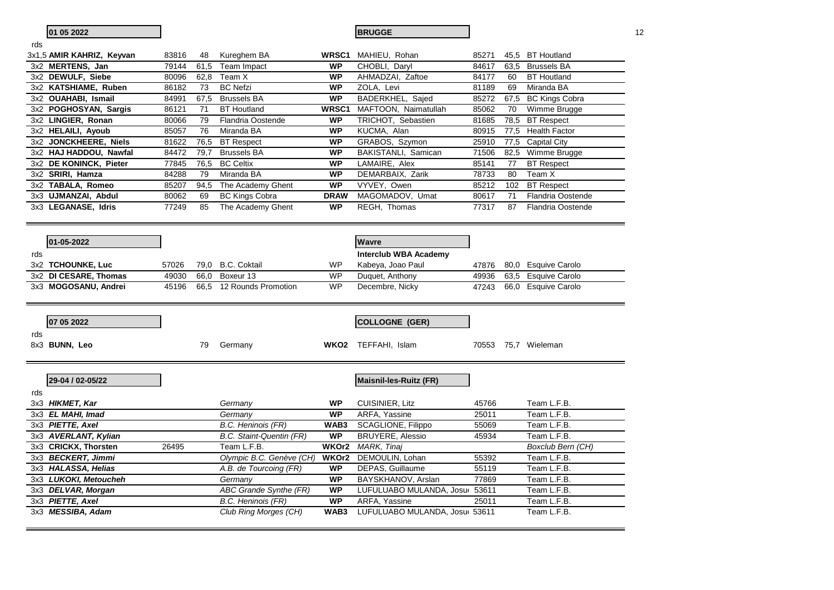|     | 01 05 2022                |       |      |                               |             | <b>BRUGGE</b>                  |       |      |                          | 12 |
|-----|---------------------------|-------|------|-------------------------------|-------------|--------------------------------|-------|------|--------------------------|----|
| rds |                           |       |      |                               |             |                                |       |      |                          |    |
|     | 3x1,5 AMIR KAHRIZ, Keyvan | 83816 | 48   | Kureghem BA                   | WRSC1       | MAHIEU, Rohan                  | 85271 |      | 45,5 BT Houtland         |    |
|     | 3x2 MERTENS, Jan          | 79144 | 61,5 | Team Impact                   | <b>WP</b>   | CHOBLI, Daryl                  | 84617 |      | 63,5 Brussels BA         |    |
|     | 3x2 DEWULF, Siebe         | 80096 | 62,8 | Team X                        | <b>WP</b>   | AHMADZAI, Zaftoe               | 84177 | 60   | <b>BT</b> Houtland       |    |
|     | 3x2 KATSHIAME, Ruben      | 86182 | 73   | <b>BC</b> Nefzi               | <b>WP</b>   | ZOLA, Levi                     | 81189 | 69   | Miranda BA               |    |
|     | 3x2 OUAHABI, Ismail       | 84991 | 67,5 | <b>Brussels BA</b>            | <b>WP</b>   | BADERKHEL, Sajed               | 85272 |      | 67,5 BC Kings Cobra      |    |
|     | 3x2 POGHOSYAN, Sargis     | 86121 | 71   | <b>BT Houtland</b>            | WRSC1       | MAFTOON, Naimatullah           | 85062 | 70   | Wimme Brugge             |    |
|     | 3x2 LINGIER, Ronan        | 80066 | 79   | <b>Flandria Oostende</b>      | <b>WP</b>   | TRICHOT, Sebastien             | 81685 | 78,5 | <b>BT</b> Respect        |    |
|     | 3x2 HELAILI, Ayoub        | 85057 | 76   | Miranda BA                    | <b>WP</b>   | KUCMA, Alan                    | 80915 |      | 77,5 Health Factor       |    |
|     | 3x2 JONCKHEERE, Niels     | 81622 | 76,5 | <b>BT</b> Respect             | WP          | GRABOS, Szymon                 | 25910 |      | 77,5 Capital City        |    |
|     | 3x2 HAJ HADDOU, Nawfal    | 84472 | 79,7 | <b>Brussels BA</b>            | <b>WP</b>   | BAKISTANLI, Samican            | 71506 | 82,5 | Wimme Brugge             |    |
|     | 3x2 DE KONINCK, Pieter    | 77845 | 76,5 | <b>BC Celtix</b>              | <b>WP</b>   | LAMAIRE, Alex                  | 85141 | 77   | <b>BT</b> Respect        |    |
|     | 3x2 SRIRI, Hamza          | 84288 | 79   | Miranda BA                    | <b>WP</b>   | DEMARBAIX, Zarik               | 78733 | 80   | Team X                   |    |
|     | 3x2 TABALA, Romeo         | 85207 | 94,5 | The Academy Ghent             | <b>WP</b>   | VYVEY, Owen                    | 85212 | 102  | <b>BT</b> Respect        |    |
|     | 3x3 UJMANZAI, Abdul       | 80062 | 69   | <b>BC Kings Cobra</b>         | <b>DRAW</b> | MAGOMADOV, Umat                | 80617 | 71   | <b>Flandria Oostende</b> |    |
|     | 3x3 LEGANASE, Idris       | 77249 | 85   | The Academy Ghent             | <b>WP</b>   | REGH, Thomas                   | 77317 | 87   | <b>Flandria Oostende</b> |    |
|     |                           |       |      |                               |             |                                |       |      |                          |    |
|     |                           |       |      |                               |             |                                |       |      |                          |    |
|     | 01-05-2022                |       |      |                               |             | <b>Wavre</b>                   |       |      |                          |    |
| rds |                           |       |      |                               |             | <b>Interclub WBA Academy</b>   |       |      |                          |    |
|     | 3x2 TCHOUNKE, Luc         | 57026 | 79,0 | <b>B.C. Coktail</b>           | WP          | Kabeya, Joao Paul              | 47876 | 80.0 | <b>Esquive Carolo</b>    |    |
|     | 3x2 DI CESARE, Thomas     | 49030 | 66,0 | Boxeur 13                     | <b>WP</b>   | Duquet, Anthony                | 49936 | 63,5 | <b>Esquive Carolo</b>    |    |
|     | 3x3 MOGOSANU, Andrei      | 45196 | 66,5 | 12 Rounds Promotion           | <b>WP</b>   | Decembre, Nicky                | 47243 |      | 66,0 Esquive Carolo      |    |
|     |                           |       |      |                               |             |                                |       |      |                          |    |
|     |                           |       |      |                               |             |                                |       |      |                          |    |
|     | 07 05 2022                |       |      |                               |             | COLLOGNE (GER)                 |       |      |                          |    |
| rds |                           |       |      |                               |             |                                |       |      |                          |    |
|     | 8x3 BUNN, Leo             |       | 79   | Germany                       |             | WKO2 TEFFAHI, Islam            |       |      | 70553 75,7 Wieleman      |    |
|     |                           |       |      |                               |             |                                |       |      |                          |    |
|     |                           |       |      |                               |             |                                |       |      |                          |    |
|     |                           |       |      |                               |             |                                |       |      |                          |    |
|     | 29-04 / 02-05/22          |       |      |                               |             | Maisnil-les-Ruitz (FR)         |       |      |                          |    |
| rds |                           |       |      |                               |             |                                |       |      |                          |    |
|     | 3x3 HIKMET, Kar           |       |      | Germany                       | <b>WP</b>   | <b>CUISINIER, Litz</b>         | 45766 |      | Team L.F.B.              |    |
|     | 3x3 EL MAHI, Imad         |       |      | Germany                       | <b>WP</b>   | ARFA, Yassine                  | 25011 |      | Team L.F.B.              |    |
|     | 3x3 PIETTE, Axel          |       |      | <b>B.C. Heninois (FR)</b>     | WAB3        | <b>SCAGLIONE, Filippo</b>      | 55069 |      | Team L.F.B.              |    |
|     | 3x3 AVERLANT, Kylian      |       |      | B.C. Staint-Quentin (FR)      | <b>WP</b>   | <b>BRUYERE, Alessio</b>        | 45934 |      | Team L.F.B.              |    |
|     | 3x3 CRICKX, Thorsten      | 26495 |      | Team L.F.B.                   | WKOr2       | MARK, Tinaj                    |       |      | Boxclub Bern (CH)        |    |
|     | 3x3 BECKERT, Jimmi        |       |      | Olympic B.C. Genève (CH)      | WKOr2       | DEMOULIN, Lohan                | 55392 |      | Team L.F.B.              |    |
|     | 3x3 HALASSA, Helias       |       |      | A.B. de Tourcoing (FR)        | <b>WP</b>   | DEPAS, Guillaume               | 55119 |      | Team L.F.B.              |    |
|     | 3x3 LUKOKI, Metoucheh     |       |      | Germany                       | <b>WP</b>   | BAYSKHANOV, Arslan             | 77869 |      | Team L.F.B.              |    |
|     | 3x3 DELVAR, Morgan        |       |      | <b>ABC Grande Synthe (FR)</b> | <b>WP</b>   | LUFULUABO MULANDA, Josur 53611 |       |      | Team L.F.B.              |    |
|     | 3x3 PIETTE, Axel          |       |      | B.C. Heninois (FR)            | <b>WP</b>   | ARFA, Yassine                  | 25011 |      | Team L.F.B.              |    |
|     | 3x3 MESSIBA, Adam         |       |      | Club Ring Morges (CH)         | WAB3        | LUFULUABO MULANDA, Josu( 53611 |       |      | Team L.F.B.              |    |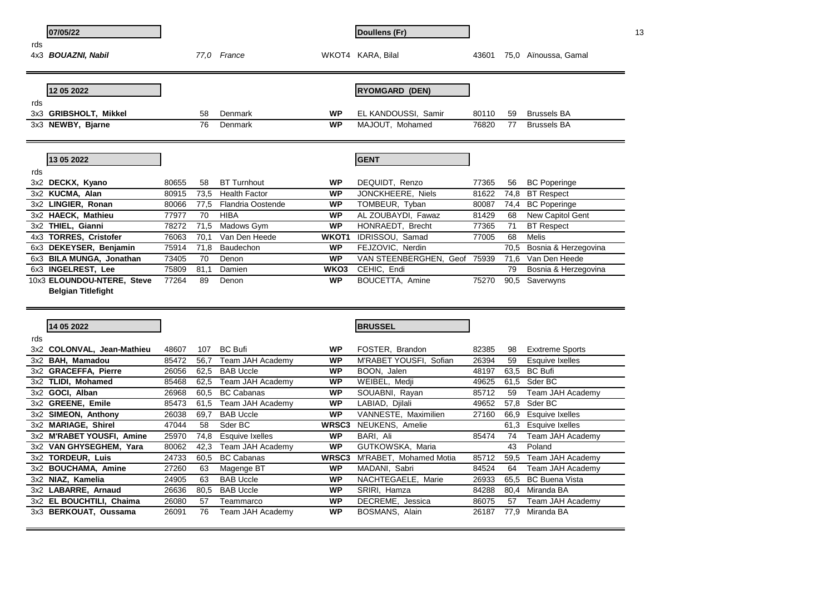|     | 07/05/22                   |       |      |                          |              | Doullens (Fr)          |       |      |                        | 13 |
|-----|----------------------------|-------|------|--------------------------|--------------|------------------------|-------|------|------------------------|----|
| rds |                            |       |      |                          |              |                        |       |      |                        |    |
| 4x3 | <b>BOUAZNI, Nabil</b>      |       | 77.0 | France                   |              | WKOT4 KARA, Bilal      | 43601 |      | 75,0 Aïnoussa, Gamal   |    |
|     |                            |       |      |                          |              |                        |       |      |                        |    |
|     |                            |       |      |                          |              |                        |       |      |                        |    |
|     | 12 05 2022                 |       |      |                          |              | <b>RYOMGARD (DEN)</b>  |       |      |                        |    |
| rds |                            |       |      |                          |              |                        |       |      |                        |    |
| 3x3 | <b>GRIBSHOLT, Mikkel</b>   |       | 58   | Denmark                  | <b>WP</b>    | EL KANDOUSSI, Samir    | 80110 | 59   | <b>Brussels BA</b>     |    |
|     | 3x3 NEWBY, Bjarne          |       | 76   | Denmark                  | <b>WP</b>    | MAJOUT, Mohamed        | 76820 | 77   | <b>Brussels BA</b>     |    |
|     |                            |       |      |                          |              |                        |       |      |                        |    |
|     |                            |       |      |                          |              |                        |       |      |                        |    |
|     | 13 05 2022                 |       |      |                          |              | <b>GENT</b>            |       |      |                        |    |
| rds |                            |       |      |                          |              |                        |       |      |                        |    |
|     | 3x2 DECKX, Kyano           | 80655 | 58   | <b>BT Turnhout</b>       | <b>WP</b>    | DEQUIDT, Renzo         | 77365 | 56   | <b>BC</b> Poperinge    |    |
|     | 3x2 KUCMA, Alan            | 80915 | 73,5 | <b>Health Factor</b>     | <b>WP</b>    | JONCKHEERE, Niels      | 81622 | 74,8 | <b>BT</b> Respect      |    |
|     | 3x2 LINGIER, Ronan         | 80066 | 77,5 | <b>Flandria Oostende</b> | <b>WP</b>    | TOMBEUR, Tyban         | 80087 | 74,4 | <b>BC</b> Poperinge    |    |
|     | 3x2 HAECK, Mathieu         | 77977 | 70   | <b>HIBA</b>              | <b>WP</b>    | AL ZOUBAYDI, Fawaz     | 81429 | 68   | New Capitol Gent       |    |
|     | 3x2 THIEL, Gianni          | 78272 | 71,5 | Madows Gym               | <b>WP</b>    | HONRAEDT, Brecht       | 77365 | 71   | <b>BT</b> Respect      |    |
|     | 4x3 TORRES, Cristofer      | 76063 | 70,1 | Van Den Heede            | WKOT1        | IDRISSOU, Samad        | 77005 | 68   | Melis                  |    |
|     | 6x3 DEKEYSER, Benjamin     | 75914 | 71,8 | Baudechon                | <b>WP</b>    | FEJZOVIC, Nerdin       |       | 70,5 | Bosnia & Herzegovina   |    |
|     | 6x3 BILA MUNGA, Jonathan   | 73405 | 70   | Denon                    | <b>WP</b>    | VAN STEENBERGHEN, Geof | 75939 | 71,6 | Van Den Heede          |    |
|     | 6x3 INGELREST, Lee         | 75809 | 81,1 | Damien                   | WKO3         | CEHIC, Endi            |       | 79   | Bosnia & Herzegovina   |    |
|     | 10x3 ELOUNDOU-NTERE, Steve | 77264 | 89   | Denon                    | <b>WP</b>    | BOUCETTA, Amine        | 75270 | 90,5 | Saverwyns              |    |
|     | <b>Belgian Titlefight</b>  |       |      |                          |              |                        |       |      |                        |    |
|     |                            |       |      |                          |              |                        |       |      |                        |    |
|     |                            |       |      |                          |              |                        |       |      |                        |    |
|     | 14 05 2022                 |       |      |                          |              | <b>BRUSSEL</b>         |       |      |                        |    |
| rds |                            |       |      |                          |              |                        |       |      |                        |    |
|     | 3x2 COLONVAL, Jean-Mathieu | 48607 | 107  | <b>BC Bufi</b>           | <b>WP</b>    | FOSTER, Brandon        | 82385 | 98   | <b>Exxtreme Sports</b> |    |
|     | 3x2 BAH, Mamadou           | 85472 | 56,7 | Team JAH Academy         | <b>WP</b>    | M'RABET YOUSFI, Sofian | 26394 | 59   | Esquive Ixelles        |    |
|     | 3x2 GRACEFFA, Pierre       | 26056 | 62,5 | <b>BAB Uccle</b>         | <b>WP</b>    | BOON, Jalen            | 48197 | 63,5 | <b>BC Bufi</b>         |    |
|     | 3x2 TLIDI, Mohamed         | 85468 | 62,5 | Team JAH Academy         | <b>WP</b>    | WEIBEL, Medji          | 49625 | 61,5 | Sder BC                |    |
|     | 3x2 GOCI, Alban            | 26968 | 60.5 | <b>BC Cabanas</b>        | <b>WP</b>    | SOUABNI, Rayan         | 85712 | 59   | Team JAH Academy       |    |
|     | 3x2 GREENE, Emile          | 85473 | 61,5 | Team JAH Academy         | <b>WP</b>    | LABIAD, Djilali        | 49652 | 57,8 | Sder BC                |    |
|     | 3x2 SIMEON, Anthony        | 26038 | 69,7 | <b>BAB Uccle</b>         | <b>WP</b>    | VANNESTE, Maximilien   | 27160 | 66,9 | <b>Esquive Ixelles</b> |    |
|     | 3x2 MARIAGE, Shirel        | 47044 | 58   | Sder BC                  | <b>WRSC3</b> | NEUKENS, Amelie        |       | 61,3 | <b>Esquive Ixelles</b> |    |
|     | 3x2 M'RABET YOUSFI, Amine  | 25970 | 74,8 | Esquive Ixelles          | <b>WP</b>    | BARI, Ali              | 85474 | 74   | Team JAH Academy       |    |
|     | 3x2 VAN GHYSEGHEM, Yara    | 80062 | 42,3 | Team JAH Academy         | <b>WP</b>    | GUTKOWSKA, Maria       |       | 43   | Poland                 |    |
|     | 3x2 TORDEUR, Luis          | 24733 | 60,5 | <b>BC Cabanas</b>        | <b>WRSC3</b> | M'RABET, Mohamed Motia | 85712 | 59,5 | Team JAH Academy       |    |
|     | 3x2 BOUCHAMA, Amine        | 27260 | 63   | Magenge BT               | <b>WP</b>    | MADANI, Sabri          | 84524 | 64   | Team JAH Academy       |    |
|     | 3x2 NIAZ, Kamelia          | 24905 | 63   | <b>BAB Uccle</b>         | <b>WP</b>    | NACHTEGAELE, Marie     | 26933 | 65.5 | <b>BC Buena Vista</b>  |    |
|     | 3x2 LABARRE, Arnaud        | 26636 | 80.5 | <b>BAB Uccle</b>         | <b>WP</b>    | SRIRI, Hamza           | 84288 | 80.4 | Miranda BA             |    |
|     | 3x2 EL BOUCHTILI, Chaima   | 26080 | 57   | Teammarco                | <b>WP</b>    | DECREME, Jessica       | 86075 | 57   | Team JAH Academy       |    |
|     | 3x3 BERKOUAT, Oussama      | 26091 | 76   | Team JAH Academy         | <b>WP</b>    | BOSMANS, Alain         | 26187 |      | 77,9 Miranda BA        |    |
|     |                            |       |      |                          |              |                        |       |      |                        |    |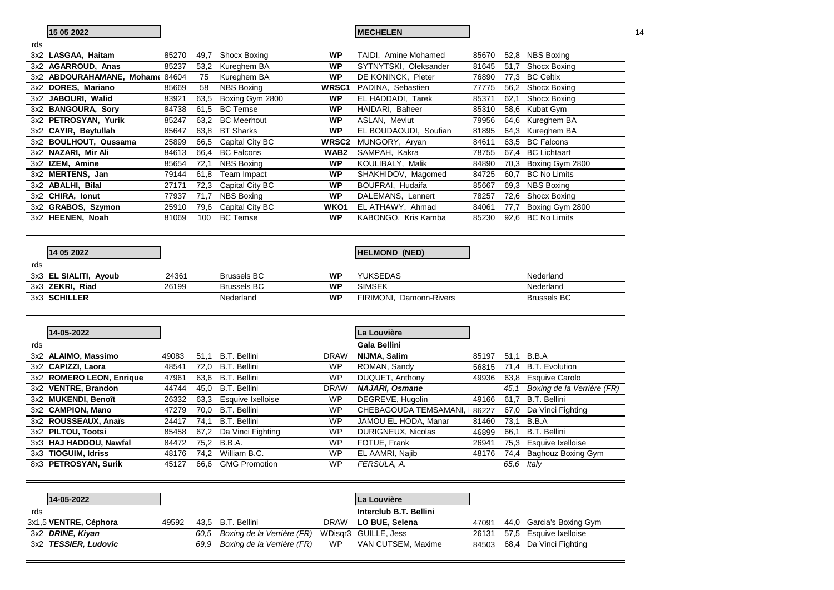|     | 15 05 2022                                  |                |              |                                      |                        | <b>MECHELEN</b>                |       |              |                             | 14 |
|-----|---------------------------------------------|----------------|--------------|--------------------------------------|------------------------|--------------------------------|-------|--------------|-----------------------------|----|
| rds |                                             |                |              |                                      |                        |                                |       |              |                             |    |
|     | 3x2 LASGAA, Haitam                          | 85270          |              | 49,7 Shocx Boxing                    | <b>WP</b>              | TAIDI, Amine Mohamed           | 85670 |              | 52,8 NBS Boxing             |    |
|     | 3x2 AGARROUD, Anas                          | 85237          | 53,2         | Kureghem BA                          | <b>WP</b>              | SYTNYTSKI, Oleksander          | 81645 | 51,7         | Shocx Boxing                |    |
|     | 3x2 ABDOURAHAMANE, Mohame 84604             |                | 75           | Kureghem BA                          | <b>WP</b>              | DE KONINCK, Pieter             | 76890 |              | 77,3 BC Celtix              |    |
|     | 3x2 DORES, Mariano                          | 85669          | 58           | <b>NBS Boxing</b>                    | WRSC1                  | PADINA, Sebastien              | 77775 |              | 56,2 Shocx Boxing           |    |
|     | 3x2 JABOURI, Walid                          | 83921          | 63,5         | Boxing Gym 2800                      | WP                     | EL HADDADI, Tarek              | 85371 | 62,1         | Shocx Boxing                |    |
|     | 3x2 BANGOURA, Sory                          | 84738          | 61,5         | <b>BC</b> Temse                      | <b>WP</b>              | HAIDARI, Baheer                | 85310 |              | 58,6 Kubat Gym              |    |
|     | 3x2 PETROSYAN, Yurik                        | 85247          | 63,2         | <b>BC</b> Meerhout                   | <b>WP</b>              | ASLAN, Mevlut                  | 79956 |              | 64,6 Kureghem BA            |    |
|     | 3x2 CAYIR, Beytullah                        | 85647          | 63,8         | <b>BT Sharks</b>                     | <b>WP</b>              | EL BOUDAOUDI, Soufian          | 81895 |              | 64,3 Kureghem BA            |    |
|     | 3x2 BOULHOUT, Oussama                       | 25899          | 66,5         | Capital City BC                      | WRSC2                  | MUNGORY, Aryan                 | 84611 |              | 63,5 BC Falcons             |    |
|     | 3x2 NAZARI, Mir Ali                         | 84613          | 66,4         | <b>BC Falcons</b>                    | WAB <sub>2</sub>       | SAMPAH, Kakra                  | 78755 | 67,4         | <b>BC</b> Lichtaart         |    |
|     | 3x2 IZEM, Amine                             | 85654          | 72,1         | <b>NBS Boxing</b>                    | <b>WP</b>              | KOULIBALY, Malik               | 84890 | 70,3         | Boxing Gym 2800             |    |
|     | 3x2 MERTENS, Jan                            | 79144          | 61,8         | Team Impact                          | <b>WP</b>              | SHAKHIDOV, Magomed             | 84725 | 60,7         | <b>BC No Limits</b>         |    |
|     | 3x2 ABALHI, Bilal                           | 27171          | 72,3         | Capital City BC                      | <b>WP</b>              | BOUFRAI, Hudaifa               | 85667 |              | 69,3 NBS Boxing             |    |
|     | 3x2 CHIRA, Ionut                            | 77937          | 71,7         | <b>NBS Boxing</b>                    | <b>WP</b>              | DALEMANS, Lennert              | 78257 | 72,6         | Shocx Boxing                |    |
|     | 3x2 GRABOS, Szymon                          | 25910          | 79,6         | Capital City BC                      | WKO1                   | EL ATHAWY, Ahmad               | 84061 | 77,7         | Boxing Gym 2800             |    |
|     | 3x2 HEENEN, Noah                            | 81069          | 100          | <b>BC</b> Temse                      | <b>WP</b>              | KABONGO, Kris Kamba            | 85230 |              | 92.6 BC No Limits           |    |
|     |                                             |                |              |                                      |                        |                                |       |              |                             |    |
|     |                                             |                |              |                                      |                        |                                |       |              |                             |    |
|     |                                             |                |              |                                      |                        |                                |       |              |                             |    |
|     | 14 05 2022                                  |                |              |                                      |                        | <b>HELMOND (NED)</b>           |       |              |                             |    |
| rds |                                             |                |              |                                      |                        |                                |       |              |                             |    |
|     |                                             | 24361          |              | <b>Brussels BC</b>                   | <b>WP</b>              |                                |       |              | Nederland                   |    |
|     | 3x3 EL SIALITI, Ayoub                       | 26199          |              | <b>Brussels BC</b>                   | <b>WP</b>              | YUKSEDAS<br><b>SIMSEK</b>      |       |              | Nederland                   |    |
|     | 3x3 ZEKRI, Riad<br>3x3 SCHILLER             |                |              | Nederland                            | <b>WP</b>              | FIRIMONI, Damonn-Rivers        |       |              | <b>Brussels BC</b>          |    |
|     |                                             |                |              |                                      |                        |                                |       |              |                             |    |
|     |                                             |                |              |                                      |                        |                                |       |              |                             |    |
|     |                                             |                |              |                                      |                        |                                |       |              |                             |    |
|     | 14-05-2022                                  |                |              |                                      |                        | La Louvière                    |       |              |                             |    |
| rds |                                             |                |              |                                      |                        | Gala Bellini                   |       |              |                             |    |
|     | 3x2 ALAIMO, Massimo                         | 49083          |              | 51,1 B.T. Bellini                    | <b>DRAW</b>            | NIJMA, Salim                   | 85197 |              | 51,1 B.B.A                  |    |
|     | 3x2 CAPIZZI, Laora                          | 48541          |              | 72,0 B.T. Bellini                    | <b>WP</b>              | ROMAN, Sandy                   | 56815 |              | 71,4 B.T. Evolution         |    |
|     | 3x2 ROMERO LEON, Enrique                    | 47961          |              | 63.6 B.T. Bellini                    | <b>WP</b>              | DUQUET, Anthony                | 49936 |              | 63,8 Esquive Carolo         |    |
|     | 3x2 VENTRE, Brandon                         | 44744          | 45,0         | <b>B.T. Bellini</b>                  | <b>DRAW</b>            | <b>NAJARI, Osmane</b>          |       | 45,1         | Boxing de la Verrière (FR)  |    |
|     | 3x2 MUKENDI, Benoît                         | 26332          | 63,3         | Esquive Ixelloise                    | <b>WP</b>              | DEGREVE, Hugolin               | 49166 | 61,7         | <b>B.T. Bellini</b>         |    |
|     | 3x2 CAMPION, Mano                           | 47279          | 70.0         | <b>B.T. Bellini</b>                  | <b>WP</b>              | CHEBAGOUDA TEMSAMANI,          | 86227 |              | 67,0 Da Vinci Fighting      |    |
|     | 3x2 ROUSSEAUX, Anaïs                        | 24417          | 74,1         | <b>B.T. Bellini</b>                  | <b>WP</b>              | JAMOU EL HODA, Manar           | 81460 | 73,1         | B.B.A                       |    |
|     | 3x2 PILTOU, Tootsi                          | 85458          | 67,2         | Da Vinci Fighting                    | <b>WP</b>              | DURIGNEUX, Nicolas             | 46899 | 66,1         | <b>B.T. Bellini</b>         |    |
|     | 3x3 HAJ HADDOU, Nawfal                      | 84472          | 75,2         | B.B.A.                               | <b>WP</b>              | FOTUE, Frank                   | 26941 | 75,3         | Esquive Ixelloise           |    |
|     | 3x3 TIOGUIM, Idriss<br>8x3 PETROSYAN, Surik | 48176<br>45127 | 74.2<br>66.6 | William B.C.<br><b>GMG Promotion</b> | <b>WP</b><br><b>WP</b> | EL AAMRI, Najib<br>FERSULA, A. | 48176 | 74,4<br>65,6 | Baghouz Boxing Gym<br>Italy |    |

| 14-05-2022            |       |      |                            |             | La Louvière            |       |      |                          |
|-----------------------|-------|------|----------------------------|-------------|------------------------|-------|------|--------------------------|
| rds                   |       |      |                            |             | Interclub B.T. Bellini |       |      |                          |
| 3x1,5 VENTRE, Céphora | 49592 |      | 43.5 B.T. Bellini          | <b>DRAW</b> | LO BUE, Selena         | 47091 |      | 44,0 Garcia's Boxing Gym |
| 3x2 DRINE, Kiyan      |       | 60.5 | Boxing de la Verrière (FR) |             | WDisgr3 GUILLE, Jess   | 26131 | 57.5 | Esquive Ixelloise        |
| 3x2 TESSIER, Ludovic  |       | 69.9 | Boxing de la Verrière (FR) | WP          | VAN CUTSEM, Maxime     | 84503 | 68.4 | Da Vinci Fighting        |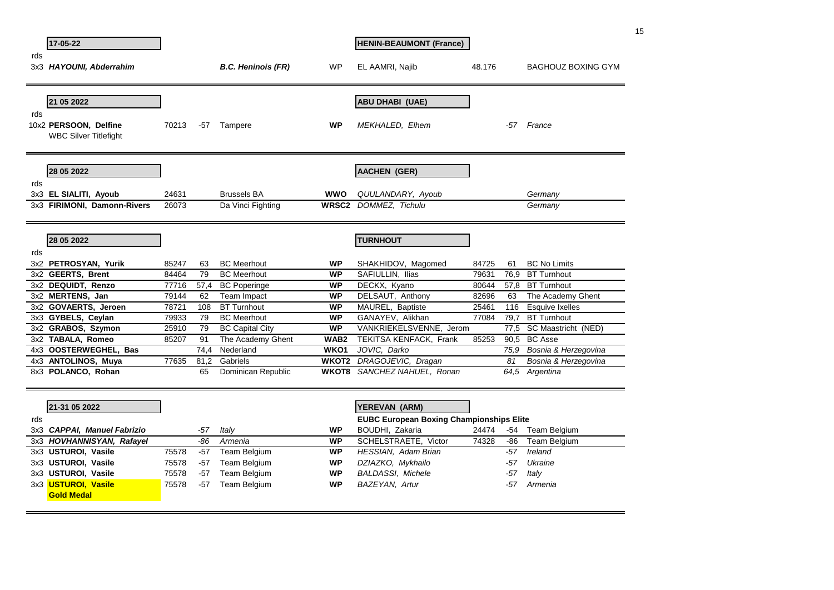|     | 17-05-22                                              |       |       |                           |                  | <b>HENIN-BEAUMONT (France)</b>                  |        |      |                           | 15 |
|-----|-------------------------------------------------------|-------|-------|---------------------------|------------------|-------------------------------------------------|--------|------|---------------------------|----|
| rds |                                                       |       |       |                           |                  |                                                 |        |      |                           |    |
|     | 3x3 HAYOUNI, Abderrahim                               |       |       | <b>B.C. Heninois (FR)</b> | WP               | EL AAMRI, Najib                                 | 48.176 |      | <b>BAGHOUZ BOXING GYM</b> |    |
|     | 21 05 2022                                            |       |       |                           |                  | <b>ABU DHABI (UAE)</b>                          |        |      |                           |    |
| rds |                                                       |       |       |                           |                  |                                                 |        |      |                           |    |
|     | 10x2 PERSOON, Delfine<br><b>WBC Silver Titlefight</b> | 70213 | $-57$ | Tampere                   | <b>WP</b>        | <b>MEKHALED, Elhem</b>                          |        | -57  | France                    |    |
|     | 28 05 2022                                            |       |       |                           |                  | <b>AACHEN (GER)</b>                             |        |      |                           |    |
| rds |                                                       |       |       |                           |                  |                                                 |        |      |                           |    |
|     | 3x3 EL SIALITI, Ayoub                                 | 24631 |       | <b>Brussels BA</b>        | <b>WWO</b>       | QUULANDARY, Ayoub                               |        |      | Germany                   |    |
|     | 3x3 FIRIMONI, Damonn-Rivers                           | 26073 |       | Da Vinci Fighting         |                  | <b>WRSC2</b> DOMMEZ, Tichulu                    |        |      | Germany                   |    |
|     | 28 05 2022                                            |       |       |                           |                  | <b>TURNHOUT</b>                                 |        |      |                           |    |
| rds |                                                       |       |       |                           |                  |                                                 |        |      |                           |    |
|     | 3x2 PETROSYAN, Yurik                                  | 85247 | 63    | <b>BC</b> Meerhout        | <b>WP</b>        | SHAKHIDOV, Magomed                              | 84725  | 61   | <b>BC No Limits</b>       |    |
|     | 3x2 GEERTS, Brent                                     | 84464 | 79    | <b>BC</b> Meerhout        | WP               | SAFIULLIN, Ilias                                | 79631  | 76.9 | <b>BT Turnhout</b>        |    |
|     | 3x2 DEQUIDT, Renzo                                    | 77716 | 57,4  | <b>BC Poperinge</b>       | <b>WP</b>        | DECKX, Kyano                                    | 80644  | 57,8 | <b>BT Turnhout</b>        |    |
|     | 3x2 MERTENS, Jan                                      | 79144 | 62    | Team Impact               | <b>WP</b>        | DELSAUT, Anthony                                | 82696  | 63   | The Academy Ghent         |    |
|     | 3x2 GOVAERTS, Jeroen                                  | 78721 | 108   | <b>BT Turnhout</b>        | <b>WP</b>        | MAUREL, Baptiste                                | 25461  | 116  | <b>Esquive Ixelles</b>    |    |
|     | 3x3 GYBELS, Ceylan                                    | 79933 | 79    | <b>BC</b> Meerhout        | <b>WP</b>        | GANAYEV, Alikhan                                | 77084  | 79,7 | <b>BT Turnhout</b>        |    |
|     | 3x2 GRABOS, Szymon                                    | 25910 | 79    | <b>BC Capital City</b>    | <b>WP</b>        | VANKRIEKELSVENNE, Jerom                         |        | 77.5 | SC Maastricht (NED)       |    |
|     | 3x2 TABALA, Romeo                                     | 85207 | 91    | The Academy Ghent         | WAB <sub>2</sub> | TEKITSA KENFACK, Frank                          | 85253  | 90,5 | <b>BC Asse</b>            |    |
|     | 4x3 OOSTERWEGHEL, Bas                                 |       | 74,4  | Nederland                 | WKO1             | JOVIC, Darko                                    |        |      | 75,9 Bosnia & Herzegovina |    |
|     | 4x3 ANTOLINOS, Muya                                   | 77635 | 81.2  | Gabriels                  |                  | WKOT2 DRAGOJEVIC, Dragan                        |        | 81   | Bosnia & Herzegovina      |    |
|     | 8x3 POLANCO, Rohan                                    |       | 65    | Dominican Republic        |                  | <b>WKOT8</b> SANCHEZ NAHUEL, Ronan              |        |      | 64,5 Argentina            |    |
|     |                                                       |       |       |                           |                  |                                                 |        |      |                           |    |
|     | 21-31 05 2022                                         |       |       |                           |                  | YEREVAN (ARM)                                   |        |      |                           |    |
| rds |                                                       |       |       |                           |                  | <b>EUBC European Boxing Championships Elite</b> |        |      |                           |    |
|     | 3x3 CAPPAI, Manuel Fabrizio                           |       | -57   | Italy                     | WP               | BOUDHI, Zakaria                                 | 24474  | -54  | Team Belgium              |    |
|     | 3x3 HOVHANNISYAN, Rafayel                             |       | -86   | Armenia                   | <b>WP</b>        | <b>SCHELSTRAETE, Victor</b>                     | 74328  | -86  | Team Belgium              |    |
|     | 3x3 USTUROI, Vasile                                   | 75578 | $-57$ | <b>Team Belgium</b>       | <b>WP</b>        | HESSIAN, Adam Brian                             |        | -57  | Ireland                   |    |
|     | 3x3 USTUROI, Vasile                                   | 75578 | $-57$ | Team Belgium              | WP               | DZIAZKO, Mykhailo                               |        | -57  | Ukraine                   |    |
|     | 3x3 USTUROI, Vasile                                   | 75578 | -57   | <b>Team Belgium</b>       | WP               | <b>BALDASSI, Michele</b>                        |        | -57  | Italy                     |    |
|     | 3x3 <mark>USTUROI, Vasile</mark><br><b>Gold Medal</b> | 75578 | $-57$ | <b>Team Belgium</b>       | <b>WP</b>        | BAZEYAN, Artur                                  |        | -57  | Armenia                   |    |
|     |                                                       |       |       |                           |                  |                                                 |        |      |                           |    |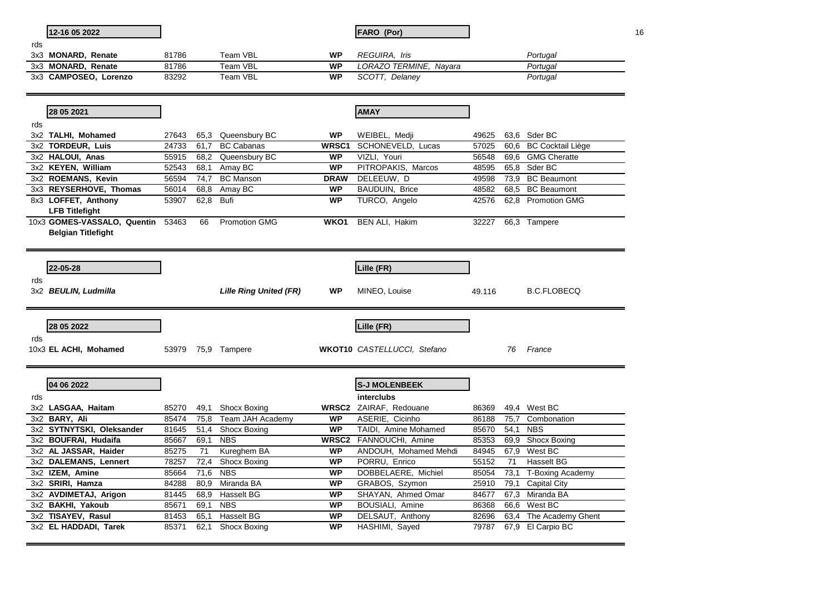|     | 12-16 05 2022                               |                |              |                               |                        | <b>FARO (Por)</b>                       |                |      |                                             | 16 |
|-----|---------------------------------------------|----------------|--------------|-------------------------------|------------------------|-----------------------------------------|----------------|------|---------------------------------------------|----|
| rds |                                             |                |              |                               |                        |                                         |                |      |                                             |    |
|     | 3x3 MONARD, Renate<br>3x3 MONARD, Renate    | 81786<br>81786 |              | Team VBL<br>Team VBL          | <b>WP</b><br><b>WP</b> | REGUIRA, Iris<br>LORAZO TERMINE, Nayara |                |      | Portugal                                    |    |
|     | 3x3 CAMPOSEO, Lorenzo                       | 83292          |              | Team VBL                      | <b>WP</b>              | SCOTT, Delaney                          |                |      | Portugal<br>Portugal                        |    |
|     |                                             |                |              |                               |                        |                                         |                |      |                                             |    |
|     | 28 05 2021                                  |                |              |                               |                        | <b>AMAY</b>                             |                |      |                                             |    |
| rds |                                             |                |              |                               |                        |                                         |                |      |                                             |    |
|     | 3x2 TALHI, Mohamed                          | 27643          | 65,3         | Queensbury BC                 | <b>WP</b>              | WEIBEL, Medji                           | 49625          |      | 63.6 Sder BC                                |    |
|     | 3x2 TORDEUR, Luis                           | 24733          | 61.7         | <b>BC Cabanas</b>             | WRSC1                  | SCHONEVELD, Lucas                       | 57025          | 60,6 | <b>BC Cocktail Liège</b>                    |    |
|     | 3x2 HALOUI, Anas                            | 55915          | 68,2         | Queensbury BC                 | <b>WP</b>              | VIZLI, Youri                            | 56548          | 69,6 | <b>GMG Cheratte</b>                         |    |
|     | 3x2 KEYEN, William                          | 52543          | 68,1         | Amay BC                       | <b>WP</b>              | PITROPAKIS, Marcos                      | 48595          | 65.8 | Sder BC                                     |    |
|     | 3x2 ROEMANS, Kevin                          | 56594          | 74,7         | <b>BC Manson</b>              | <b>DRAW</b>            | DELEEUW, D                              | 49598          | 73,9 | <b>BC</b> Beaumont                          |    |
|     | 3x3 REYSERHOVE, Thomas                      | 56014          | 68,8         | Amay BC                       | <b>WP</b>              | BAUDUIN, Brice                          | 48582          |      | 68,5 BC Beaumont                            |    |
|     | 8x3 LOFFET, Anthony                         | 53907          | 62,8         | <b>Bufi</b>                   | <b>WP</b>              | TURCO, Angelo                           | 42576          | 62,8 | <b>Promotion GMG</b>                        |    |
|     | <b>LFB Titlefight</b>                       |                |              |                               |                        |                                         |                |      |                                             |    |
|     | 10x3 GOMES-VASSALO, Quentin 53463           |                | 66           | <b>Promotion GMG</b>          | WKO <sub>1</sub>       | BEN ALI, Hakim                          | 32227          |      | 66,3 Tampere                                |    |
|     | <b>Belgian Titlefight</b>                   |                |              |                               |                        |                                         |                |      |                                             |    |
|     |                                             |                |              |                               |                        |                                         |                |      |                                             |    |
|     |                                             |                |              |                               |                        |                                         |                |      |                                             |    |
|     | 22-05-28                                    |                |              |                               |                        | Lille (FR)                              |                |      |                                             |    |
| rds |                                             |                |              |                               |                        |                                         |                |      |                                             |    |
|     |                                             |                |              |                               |                        |                                         |                |      |                                             |    |
|     |                                             |                |              |                               |                        |                                         |                |      |                                             |    |
|     | 3x2 BEULIN, Ludmilla                        |                |              | <b>Lille Ring United (FR)</b> | <b>WP</b>              | MINEO, Louise                           | 49.116         |      | <b>B.C.FLOBECQ</b>                          |    |
|     |                                             |                |              |                               |                        |                                         |                |      |                                             |    |
|     |                                             |                |              |                               |                        |                                         |                |      |                                             |    |
|     | 28 05 2022                                  |                |              |                               |                        | Lille (FR)                              |                |      |                                             |    |
| rds |                                             |                |              |                               |                        |                                         |                |      |                                             |    |
|     | 10x3 EL ACHI, Mohamed                       |                |              | 53979 75,9 Tampere            |                        | <b>WKOT10</b> CASTELLUCCI, Stefano      |                | 76   | France                                      |    |
|     |                                             |                |              |                               |                        |                                         |                |      |                                             |    |
|     |                                             |                |              |                               |                        |                                         |                |      |                                             |    |
|     | 04 06 2022                                  |                |              |                               |                        | <b>S-J MOLENBEEK</b>                    |                |      |                                             |    |
| rds |                                             |                |              |                               |                        | interclubs                              |                |      |                                             |    |
|     | 3x2 LASGAA, Haitam                          | 85270          | 49,1         | Shocx Boxing                  |                        | WRSC2 ZAIRAF, Redouane                  | 86369          | 49.4 | West BC                                     |    |
|     | 3x2 BARY, Ali                               | 85474          | 75,8         | Team JAH Academy              | <b>WP</b>              | ASERIE, Cicinho                         | 86188          | 75,7 | Combonation                                 |    |
|     | 3x2 SYTNYTSKI, Oleksander                   | 81645          | 51,4         | Shocx Boxing                  | <b>WP</b>              | TAIDI, Amine Mohamed                    | 85670          | 54,1 | <b>NBS</b>                                  |    |
|     | 3x2 BOUFRAI, Hudaifa                        | 85667          | 69.1         | <b>NBS</b>                    | <b>WRSC2</b>           | FANNOUCHI, Amine                        | 85353          | 69,9 | <b>Shocx Boxing</b>                         |    |
|     | 3x2 AL JASSAR, Haider                       | 85275          | 71           | Kureghem BA                   | <b>WP</b>              | ANDOUH, Mohamed Mehdi                   | 84945          | 67,9 | West BC                                     |    |
|     | 3x2 DALEMANS, Lennert                       | 78257          | 72,4         | Shocx Boxing                  | <b>WP</b>              | PORRU, Enrico                           | 55152          | 71   | Hasselt BG                                  |    |
|     | 3x2 IZEM, Amine                             | 85664          | 71,6         | <b>NBS</b>                    | <b>WP</b>              | DOBBELAERE, Michiel                     | 85054          | 73,1 | T-Boxing Academy                            |    |
|     | 3x2 SRIRI, Hamza                            | 84288          | 80.9         | Miranda BA                    | <b>WP</b>              | GRABOS, Szymon                          | 25910          | 79,1 | <b>Capital City</b>                         |    |
|     | 3x2 AVDIMETAJ, Arigon                       | 81445          | 68,9         | <b>Hasselt BG</b>             | <b>WP</b>              | SHAYAN, Ahmed Omar                      | 84677          |      | 67,3 Miranda BA                             |    |
|     | 3x2 BAKHI, Yakoub                           | 85671          | 69.1         | <b>NBS</b>                    | <b>WP</b>              | BOUSIALI, Amine                         | 86368          | 66,6 | West BC                                     |    |
|     | 3x2 TISAYEV, Rasul<br>3x2 EL HADDADI, Tarek | 81453<br>85371 | 65.1<br>62,1 | Hasselt BG<br>Shocx Boxing    | <b>WP</b><br><b>WP</b> | DELSAUT, Anthony<br>HASHIMI, Sayed      | 82696<br>79787 |      | 63,4 The Academy Ghent<br>67,9 El Carpio BC |    |